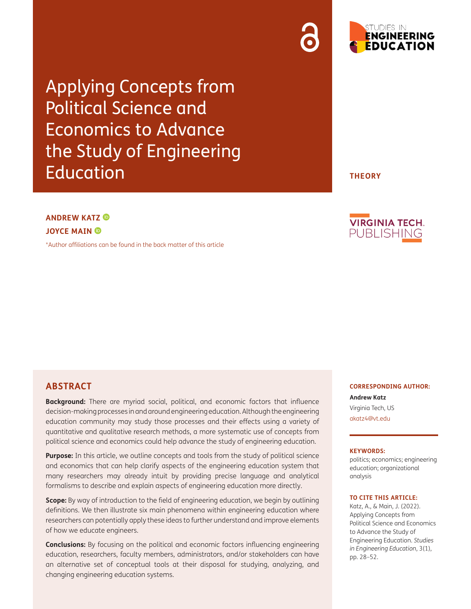Applying Concepts from Political Science and Economics to Advance the Study of Engineering Education

# **ANDREW KATZ JOYCE MAIN**

[\\*Author affiliations can be found in the back matter of this article](#page-20-0)

**ABSTRACT**

**Background:** There are myriad social, political, and economic factors that influence decision-making processes in and around engineering education. Although the engineering education community may study those processes and their effects using a variety of quantitative and qualitative research methods, a more systematic use of concepts from political science and economics could help advance the study of engineering education.

Purpose: In this article, we outline concepts and tools from the study of political science and economics that can help clarify aspects of the engineering education system that many researchers may already intuit by providing precise language and analytical formalisms to describe and explain aspects of engineering education more directly.

**Scope:** By way of introduction to the field of engineering education, we begin by outlining definitions. We then illustrate six main phenomena within engineering education where researchers can potentially apply these ideas to further understand and improve elements of how we educate engineers.

**Conclusions:** By focusing on the political and economic factors influencing engineering education, researchers, faculty members, administrators, and/or stakeholders can have an alternative set of conceptual tools at their disposal for studying, analyzing, and changing engineering education systems.

**CORRESPONDING AUTHOR:**

**Andrew Katz** Virginia Tech, US [akatz4@vt.edu](mailto:akatz4@vt.edu)

#### **KEYWORDS:**

politics; economics; engineering education; organizational analysis

#### **TO CITE THIS ARTICLE:**

Katz, A., & Main, J. (2022). Applying Concepts from Political Science and Economics to Advance the Study of Engineering Education. *Studies in Engineering Education*, 3(1), pp. 28–52.



**THEORY**

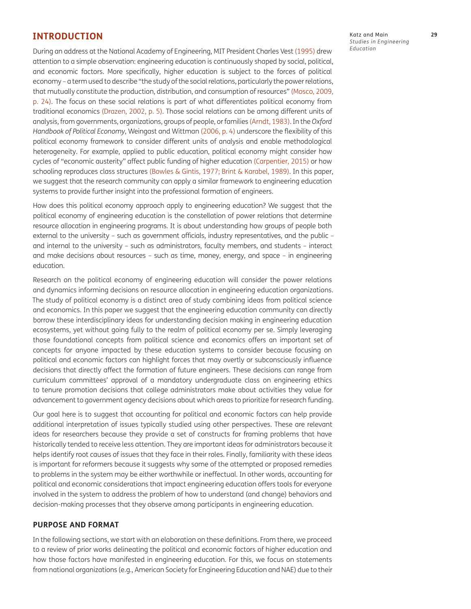## **INTRODUCTION**

During an address at the National Academy of Engineering, MIT President Charles Vest (1995) drew attention to a simple observation: engineering education is continuously shaped by social, political, and economic factors. More specifically, higher education is subject to the forces of political economy – a term used to describe "the study of the social relations, particularly the power relations, that mutually constitute the production, distribution, and consumption of resources" [\(Mosco, 2009](#page-23-0), p. 24). The focus on these social relations is part of what differentiates political economy from traditional economics [\(Drazen, 2002](#page-22-0), p. 5). Those social relations can be among different units of analysis, from governments, organizations, groups of people, or families [\(Arndt, 1983](#page-20-1)). In the *Oxford Handbook of Political Economy*, Weingast and Wittman (2006, p. 4) underscore the flexibility of this political economy framework to consider different units of analysis and enable methodological heterogeneity. For example, applied to public education, political economy might consider how cycles of "economic austerity" affect public funding of higher education ([Carpentier, 2015\)](#page-21-0) or how schooling reproduces class structures [\(Bowles & Gintis, 1977;](#page-21-1) [Brint & Karabel, 1989](#page-21-2)). In this paper, we suggest that the research community can apply a similar framework to engineering education systems to provide further insight into the professional formation of engineers.

How does this political economy approach apply to engineering education? We suggest that the political economy of engineering education is the constellation of power relations that determine resource allocation in engineering programs. It is about understanding how groups of people both external to the university – such as government officials, industry representatives, and the public – and internal to the university – such as administrators, faculty members, and students – interact and make decisions about resources – such as time, money, energy, and space – in engineering education.

Research on the political economy of engineering education will consider the power relations and dynamics informing decisions on resource allocation in engineering education organizations. The study of political economy is a distinct area of study combining ideas from political science and economics. In this paper we suggest that the engineering education community can directly borrow these interdisciplinary ideas for understanding decision making in engineering education ecosystems, yet without going fully to the realm of political economy per se. Simply leveraging those foundational concepts from political science and economics offers an important set of concepts for anyone impacted by these education systems to consider because focusing on political and economic factors can highlight forces that may overtly or subconsciously influence decisions that directly affect the formation of future engineers. These decisions can range from curriculum committees' approval of a mandatory undergraduate class on engineering ethics to tenure promotion decisions that college administrators make about activities they value for advancement to government agency decisions about which areas to prioritize for research funding.

Our goal here is to suggest that accounting for political and economic factors can help provide additional interpretation of issues typically studied using other perspectives. These are relevant ideas for researchers because they provide a set of constructs for framing problems that have historically tended to receive less attention. They are important ideas for administrators because it helps identify root causes of issues that they face in their roles. Finally, familiarity with these ideas is important for reformers because it suggests why some of the attempted or proposed remedies to problems in the system may be either worthwhile or ineffectual. In other words, accounting for political and economic considerations that impact engineering education offers tools for everyone involved in the system to address the problem of how to understand (and change) behaviors and decision-making processes that they observe among participants in engineering education.

### **PURPOSE AND FORMAT**

In the following sections, we start with an elaboration on these definitions. From there, we proceed to a review of prior works delineating the political and economic factors of higher education and how those factors have manifested in engineering education. For this, we focus on statements from national organizations (e.g., American Society for Engineering Education and NAE) due to their

Katz and Main **29** *Studies in Engineering Education*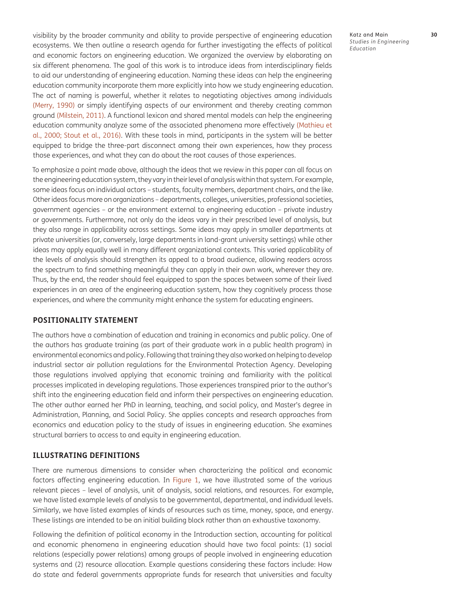visibility by the broader community and ability to provide perspective of engineering education ecosystems. We then outline a research agenda for further investigating the effects of political and economic factors on engineering education. We organized the overview by elaborating on six different phenomena. The goal of this work is to introduce ideas from interdisciplinary fields to aid our understanding of engineering education. Naming these ideas can help the engineering education community incorporate them more explicitly into how we study engineering education. The act of naming is powerful, whether it relates to negotiating objectives among individuals [\(Merry, 1990](#page-23-1)) or simply identifying aspects of our environment and thereby creating common ground ([Milstein, 2011](#page-23-2)). A functional lexicon and shared mental models can help the engineering education community analyze some of the associated phenomena more effectively ([Mathieu et](#page-23-3) [al., 2000](#page-23-3); Stout et al., 2016). With these tools in mind, participants in the system will be better equipped to bridge the three-part disconnect among their own experiences, how they process those experiences, and what they can do about the root causes of those experiences.

To emphasize a point made above, although the ideas that we review in this paper can all focus on the engineering education system, they vary in their level of analysis within that system. For example, some ideas focus on individual actors – students, faculty members, department chairs, and the like. Other ideas focus more on organizations – departments, colleges, universities, professional societies, government agencies – or the environment external to engineering education – private industry or governments. Furthermore, not only do the ideas vary in their prescribed level of analysis, but they also range in applicability across settings. Some ideas may apply in smaller departments at private universities (or, conversely, large departments in land-grant university settings) while other ideas may apply equally well in many different organizational contexts. This varied applicability of the levels of analysis should strengthen its appeal to a broad audience, allowing readers across the spectrum to find something meaningful they can apply in their own work, wherever they are. Thus, by the end, the reader should feel equipped to span the spaces between some of their lived experiences in an area of the engineering education system, how they cognitively process those experiences, and where the community might enhance the system for educating engineers.

#### **POSITIONALITY STATEMENT**

The authors have a combination of education and training in economics and public policy. One of the authors has graduate training (as part of their graduate work in a public health program) in environmental economics and policy. Following that training they also worked on helping to develop industrial sector air pollution regulations for the Environmental Protection Agency. Developing those regulations involved applying that economic training and familiarity with the political processes implicated in developing regulations. Those experiences transpired prior to the author's shift into the engineering education field and inform their perspectives on engineering education. The other author earned her PhD in learning, teaching, and social policy, and Master's degree in Administration, Planning, and Social Policy. She applies concepts and research approaches from economics and education policy to the study of issues in engineering education. She examines structural barriers to access to and equity in engineering education.

#### **ILLUSTRATING DEFINITIONS**

There are numerous dimensions to consider when characterizing the political and economic factors affecting engineering education. In [Figure 1](#page-3-0), we have illustrated some of the various relevant pieces – level of analysis, unit of analysis, social relations, and resources. For example, we have listed example levels of analysis to be governmental, departmental, and individual levels. Similarly, we have listed examples of kinds of resources such as time, money, space, and energy. These listings are intended to be an initial building block rather than an exhaustive taxonomy.

Following the definition of political economy in the Introduction section, accounting for political and economic phenomena in engineering education should have two focal points: (1) social relations (especially power relations) among groups of people involved in engineering education systems and (2) resource allocation. Example questions considering these factors include: How do state and federal governments appropriate funds for research that universities and faculty

Katz and Main **30** *Studies in Engineering Education*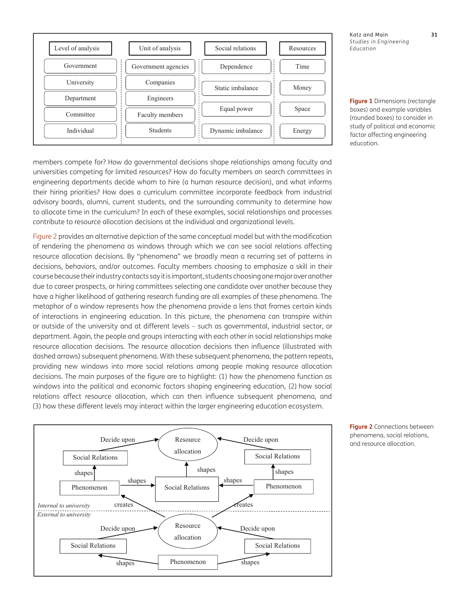

Katz and Main **31** *Studies in Engineering Education*

<span id="page-3-0"></span>**Figure 1** Dimensions (rectangle boxes) and example variables (rounded boxes) to consider in study of political and economic factor affecting engineering education.

members compete for? How do governmental decisions shape relationships among faculty and universities competing for limited resources? How do faculty members on search committees in engineering departments decide whom to hire (a human resource decision), and what informs their hiring priorities? How does a curriculum committee incorporate feedback from industrial advisory boards, alumni, current students, and the surrounding community to determine how to allocate time in the curriculum? In each of these examples, social relationships and processes contribute to resource allocation decisions at the individual and organizational levels.

[Figure 2](#page-3-1) provides an alternative depiction of the same conceptual model but with the modification of rendering the phenomena as windows through which we can see social relations affecting resource allocation decisions. By "phenomena" we broadly mean a recurring set of patterns in decisions, behaviors, and/or outcomes. Faculty members choosing to emphasize a skill in their course because their industry contacts say it is important, students choosing one major over another due to career prospects, or hiring committees selecting one candidate over another because they have a higher likelihood of gathering research funding are all examples of these phenomena. The metaphor of a window represents how the phenomena provide a lens that frames certain kinds of interactions in engineering education. In this picture, the phenomena can transpire within or outside of the university and at different levels – such as governmental, industrial sector, or department. Again, the people and groups interacting with each other in social relationships make resource allocation decisions. The resource allocation decisions then influence (illustrated with dashed arrows) subsequent phenomena. With these subsequent phenomena, the pattern repeats, providing new windows into more social relations among people making resource allocation decisions. The main purposes of the figure are to highlight: (1) how the phenomena function as windows into the political and economic factors shaping engineering education, (2) how social relations affect resource allocation, which can then influence subsequent phenomena, and (3) how these different levels may interact within the larger engineering education ecosystem.



<span id="page-3-1"></span>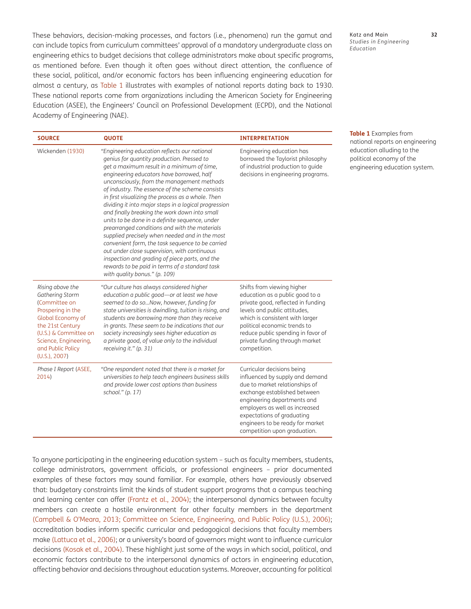These behaviors, decision-making processes, and factors (i.e., phenomena) run the gamut and can include topics from curriculum committees' approval of a mandatory undergraduate class on engineering ethics to budget decisions that college administrators make about specific programs, as mentioned before. Even though it often goes without direct attention, the confluence of these social, political, and/or economic factors has been influencing engineering education for almost a century, as Table 1 illustrates with examples of national reports dating back to 1930. These national reports come from organizations including the American Society for Engineering Education (ASEE), the Engineers' Council on Professional Development (ECPD), and the National Academy of Engineering (NAE).

| <b>SOURCE</b>                                                                                                                                                                                              | <b>QUOTE</b>                                                                                                                                                                                                                                                                                                                                                                                                                                                                                                                                                                                                                                                                                                                                                                                                                                        | <b>INTERPRETATION</b>                                                                                                                                                                                                                                                                              |
|------------------------------------------------------------------------------------------------------------------------------------------------------------------------------------------------------------|-----------------------------------------------------------------------------------------------------------------------------------------------------------------------------------------------------------------------------------------------------------------------------------------------------------------------------------------------------------------------------------------------------------------------------------------------------------------------------------------------------------------------------------------------------------------------------------------------------------------------------------------------------------------------------------------------------------------------------------------------------------------------------------------------------------------------------------------------------|----------------------------------------------------------------------------------------------------------------------------------------------------------------------------------------------------------------------------------------------------------------------------------------------------|
| Wickenden (1930)                                                                                                                                                                                           | "Engineering education reflects our national<br>genius for quantity production. Pressed to<br>get a maximum result in a minimum of time,<br>engineering educators have borrowed, half<br>unconsciously, from the management methods<br>of industry. The essence of the scheme consists<br>in first visualizing the process as a whole. Then<br>dividing it into major steps in a logical progression<br>and finally breaking the work down into small<br>units to be done in a definite sequence, under<br>prearranged conditions and with the materials<br>supplied precisely when needed and in the most<br>convenient form, the task sequence to be carried<br>out under close supervision, with continuous<br>inspection and grading of piece parts, and the<br>rewards to be paid in terms of a standard task<br>with quality bonus." (p. 109) | Engineering education has<br>borrowed the Taylorist philosophy<br>of industrial production to guide<br>decisions in engineering programs.                                                                                                                                                          |
| Rising above the<br>Gathering Storm<br>(Committee on<br>Prospering in the<br>Global Economy of<br>the 21st Century<br>(U.S.) & Committee on<br>Science, Engineering,<br>and Public Policy<br>(U.S.), 2007) | "Our culture has always considered higher<br>education a public good-or at least we have<br>seemed to do soNow, however, funding for<br>state universities is dwindling, tuition is rising, and<br>students are borrowing more than they receive<br>in grants. These seem to be indications that our<br>society increasingly sees higher education as<br>a private good, of value only to the individual<br>receiving it." (p. 31)                                                                                                                                                                                                                                                                                                                                                                                                                  | Shifts from viewing higher<br>education as a public good to a<br>private good, reflected in funding<br>levels and public attitudes,<br>which is consistent with larger<br>political economic trends to<br>reduce public spending in favor of<br>private funding through market<br>competition.     |
| Phase I Report (ASEE,<br>2014)                                                                                                                                                                             | "One respondent noted that there is a market for<br>universities to help teach engineers business skills<br>and provide lower cost options than business<br>school." (p. 17)                                                                                                                                                                                                                                                                                                                                                                                                                                                                                                                                                                                                                                                                        | Curricular decisions being<br>influenced by supply and demand<br>due to market relationships of<br>exchange established between<br>engineering departments and<br>employers as well as increased<br>expectations of graduating<br>engineers to be ready for market<br>competition upon graduation. |

**Table 1** Examples from national reports on engineering education alluding to the political economy of the engineering education system.

*Studies in Engineering* 

*Education*

To anyone participating in the engineering education system – such as faculty members, students, college administrators, government officials, or professional engineers – prior documented examples of these factors may sound familiar. For example, others have previously observed that: budgetary constraints limit the kinds of student support programs that a campus teaching and learning center can offer ([Frantz et al., 2004](#page-22-1)); the interpersonal dynamics between faculty members can create a hostile environment for other faculty members in the department (Campbell & O'Meara, 2013; [Committee on Science, Engineering, and Public Policy \(U.S.\), 2006\)](#page-21-3); accreditation bodies inform specific curricular and pedagogical decisions that faculty members make [\(Lattuca et al., 2006](#page-22-2)); or a university's board of governors might want to influence curricular decisions ([Kosak et al., 2004\)](#page-22-3). These highlight just some of the ways in which social, political, and economic factors contribute to the interpersonal dynamics of actors in engineering education, affecting behavior and decisions throughout education systems. Moreover, accounting for political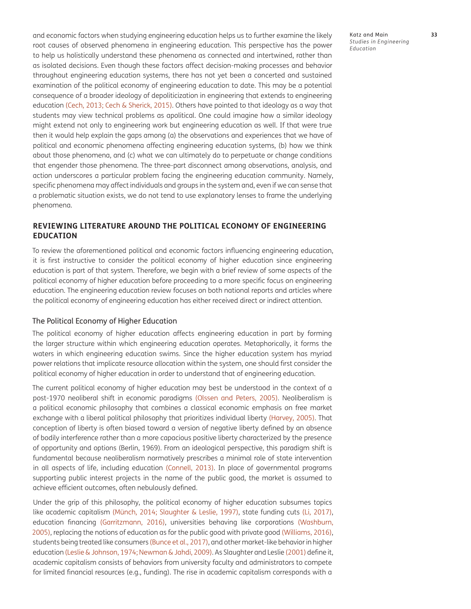and economic factors when studying engineering education helps us to further examine the likely root causes of observed phenomena in engineering education. This perspective has the power to help us holistically understand these phenomena as connected and intertwined, rather than as isolated decisions. Even though these factors affect decision-making processes and behavior throughout engineering education systems, there has not yet been a concerted and sustained examination of the political economy of engineering education to date. This may be a potential consequence of a broader ideology of depoliticization in engineering that extends to engineering education [\(Cech, 2013;](#page-21-4) [Cech & Sherick, 2015\)](#page-21-5). Others have pointed to that ideology as a way that students may view technical problems as apolitical. One could imagine how a similar ideology might extend not only to engineering work but engineering education as well. If that were true then it would help explain the gaps among (a) the observations and experiences that we have of political and economic phenomena affecting engineering education systems, (b) how we think about those phenomena, and (c) what we can ultimately do to perpetuate or change conditions that engender those phenomena. The three-part disconnect among observations, analysis, and action underscores a particular problem facing the engineering education community. Namely, specific phenomena may affect individuals and groups in the system and, even if we can sense that a problematic situation exists, we do not tend to use explanatory lenses to frame the underlying phenomena.

## **REVIEWING LITERATURE AROUND THE POLITICAL ECONOMY OF ENGINEERING EDUCATION**

To review the aforementioned political and economic factors influencing engineering education, it is first instructive to consider the political economy of higher education since engineering education is part of that system. Therefore, we begin with a brief review of some aspects of the political economy of higher education before proceeding to a more specific focus on engineering education. The engineering education review focuses on both national reports and articles where the political economy of engineering education has either received direct or indirect attention.

### The Political Economy of Higher Education

The political economy of higher education affects engineering education in part by forming the larger structure within which engineering education operates. Metaphorically, it forms the waters in which engineering education swims. Since the higher education system has myriad power relations that implicate resource allocation within the system, one should first consider the political economy of higher education in order to understand that of engineering education.

The current political economy of higher education may best be understood in the context of a post-1970 neoliberal shift in economic paradigms (Olssen and Peters, 2005). Neoliberalism is a political economic philosophy that combines a classical economic emphasis on free market exchange with a liberal political philosophy that prioritizes individual liberty ([Harvey, 2005](#page-22-4)). That conception of liberty is often biased toward a version of negative liberty defined by an absence of bodily interference rather than a more capacious positive liberty characterized by the presence of opportunity and options (Berlin, 1969). From an ideological perspective, this paradigm shift is fundamental because neoliberalism normatively prescribes a minimal role of state intervention in all aspects of life, including education ([Connell, 2013\)](#page-21-6). In place of governmental programs supporting public interest projects in the name of the public good, the market is assumed to achieve efficient outcomes, often nebulously defined.

Under the grip of this philosophy, the political economy of higher education subsumes topics like academic capitalism (Münch, 2014; Slaughter & Leslie, 1997), state funding cuts [\(Li, 2017](#page-23-4)), education financing [\(Garritzmann, 2016](#page-22-5)), universities behaving like corporations (Washburn, 2005), replacing the notions of education as for the public good with private good (Williams, 2016), students being treated like consumers ([Bunce et al., 2017\)](#page-21-7), and other market-like behavior in higher education ([Leslie & Johnson, 1974](#page-23-5); Newman & Jahdi, 2009). As Slaughter and Leslie (2001) define it, academic capitalism consists of behaviors from university faculty and administrators to compete for limited financial resources (e.g., funding). The rise in academic capitalism corresponds with a

Katz and Main **33** *Studies in Engineering Education*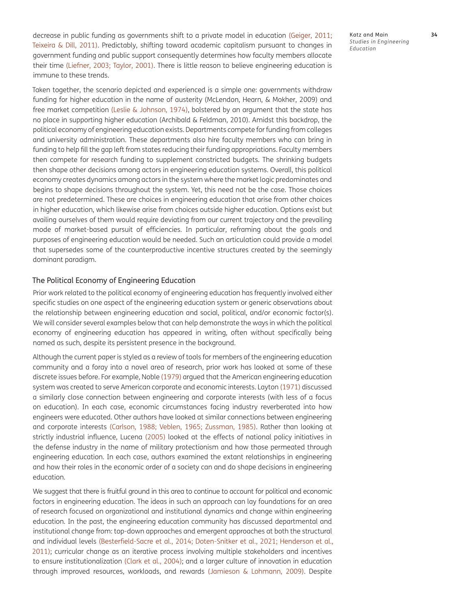decrease in public funding as governments shift to a private model in education [\(Geiger, 2011;](#page-22-6) Teixeira & Dill, 2011). Predictably, shifting toward academic capitalism pursuant to changes in government funding and public support consequently determines how faculty members allocate their time ([Liefner, 2003;](#page-23-6) Taylor, 2001). There is little reason to believe engineering education is immune to these trends.

Taken together, the scenario depicted and experienced is a simple one: governments withdraw funding for higher education in the name of austerity (McLendon, Hearn, & Mokher, 2009) and free market competition ([Leslie & Johnson, 1974](#page-23-5)), bolstered by an argument that the state has no place in supporting higher education (Archibald & Feldman, 2010). Amidst this backdrop, the political economy of engineering education exists. Departments compete for funding from colleges and university administration. These departments also hire faculty members who can bring in funding to help fill the gap left from states reducing their funding appropriations. Faculty members then compete for research funding to supplement constricted budgets. The shrinking budgets then shape other decisions among actors in engineering education systems. Overall, this political economy creates dynamics among actors in the system where the market logic predominates and begins to shape decisions throughout the system. Yet, this need not be the case. Those choices are not predetermined. These are choices in engineering education that arise from other choices in higher education, which likewise arise from choices outside higher education. Options exist but availing ourselves of them would require deviating from our current trajectory and the prevailing mode of market-based pursuit of efficiencies. In particular, reframing about the goals and purposes of engineering education would be needed. Such an articulation could provide a model that supersedes some of the counterproductive incentive structures created by the seemingly dominant paradigm.

#### The Political Economy of Engineering Education

Prior work related to the political economy of engineering education has frequently involved either specific studies on one aspect of the engineering education system or generic observations about the relationship between engineering education and social, political, and/or economic factor(s). We will consider several examples below that can help demonstrate the ways in which the political economy of engineering education has appeared in writing, often without specifically being named as such, despite its persistent presence in the background.

Although the current paper is styled as a review of tools for members of the engineering education community and a foray into a novel area of research, prior work has looked at some of these discrete issues before. For example, Noble (1979) argued that the American engineering education system was created to serve American corporate and economic interests. Layton [\(1971\)](#page-23-7) discussed a similarly close connection between engineering and corporate interests (with less of a focus on education). In each case, economic circumstances facing industry reverberated into how engineers were educated. Other authors have looked at similar connections between engineering and corporate interests ([Carlson, 1988;](#page-21-8) Veblen, 1965; Zussman, 1985). Rather than looking at strictly industrial influence, Lucena ([2005](#page-23-8)) looked at the effects of national policy initiatives in the defense industry in the name of military protectionism and how those permeated through engineering education. In each case, authors examined the extant relationships in engineering and how their roles in the economic order of a society can and do shape decisions in engineering education.

We suggest that there is fruitful ground in this area to continue to account for political and economic factors in engineering education. The ideas in such an approach can lay foundations for an area of research focused on organizational and institutional dynamics and change within engineering education. In the past, the engineering education community has discussed departmental and institutional change from: top-down approaches and emergent approaches at both the structural and individual levels [\(Besterfield-Sacre et al., 2014;](#page-20-3) [Doten-Snitker et al., 2021;](#page-22-7) [Henderson et al.,](#page-22-8)  [2011](#page-22-8)); curricular change as an iterative process involving multiple stakeholders and incentives to ensure institutionalization ([Clark et al., 2004\)](#page-21-9); and a larger culture of innovation in education through improved resources, workloads, and rewards [\(Jamieson & Lohmann, 2009](#page-22-9)). Despite

Katz and Main **34** *Studies in Engineering Education*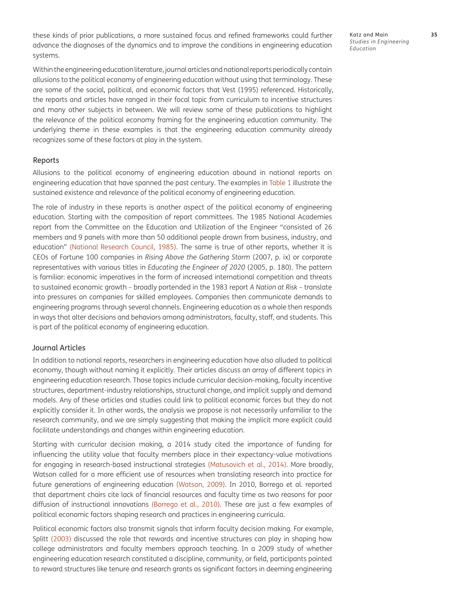these kinds of prior publications, a more sustained focus and refined frameworks could further advance the diagnoses of the dynamics and to improve the conditions in engineering education systems.

Katz and Main **35** *Studies in Engineering Education*

Within the engineering education literature, journal articles and national reports periodically contain allusions to the political economy of engineering education without using that terminology. These are some of the social, political, and economic factors that Vest (1995) referenced. Historically, the reports and articles have ranged in their focal topic from curriculum to incentive structures and many other subjects in between. We will review some of these publications to highlight the relevance of the political economy framing for the engineering education community. The underlying theme in these examples is that the engineering education community already recognizes some of these factors at play in the system.

#### Reports

Allusions to the political economy of engineering education abound in national reports on engineering education that have spanned the past century. The examples in Table 1 illustrate the sustained existence and relevance of the political economy of engineering education.

The role of industry in these reports is another aspect of the political economy of engineering education. Starting with the composition of report committees. The 1985 National Academies report from the Committee on the Education and Utilization of the Engineer "consisted of 26 members and 9 panels with more than 50 additional people drawn from business, industry, and education" (National Research Council, 1985). The same is true of other reports, whether it is CEOs of Fortune 100 companies in *Rising Above the Gathering Storm* (2007, p. ix) or corporate representatives with various titles in *Educating the Engineer of 2020* (2005, p. 180). The pattern is familiar: economic imperatives in the form of increased international competition and threats to sustained economic growth – broadly portended in the 1983 report *A Nation at Risk* – translate into pressures on companies for skilled employees. Companies then communicate demands to engineering programs through several channels. Engineering education as a whole then responds in ways that alter decisions and behaviors among administrators, faculty, staff, and students. This is part of the political economy of engineering education.

### Journal Articles

In addition to national reports, researchers in engineering education have also alluded to political economy, though without naming it explicitly. Their articles discuss an array of different topics in engineering education research. Those topics include curricular decision-making, faculty incentive structures, department-industry relationships, structural change, and implicit supply and demand models. Any of these articles and studies could link to political economic forces but they do not explicitly consider it. In other words, the analysis we propose is not necessarily unfamiliar to the research community, and we are simply suggesting that making the implicit more explicit could facilitate understandings and changes within engineering education.

Starting with curricular decision making, a 2014 study cited the importance of funding for influencing the utility value that faculty members place in their expectancy-value motivations for engaging in research-based instructional strategies [\(Matusovich et al., 2014\)](#page-23-9). More broadly, Watson called for a more efficient use of resources when translating research into practice for future generations of engineering education (Watson, 2009). In 2010, Borrego et al. reported that department chairs cite lack of financial resources and faculty time as two reasons for poor diffusion of instructional innovations [\(Borrego et al., 2010\)](#page-21-10). These are just a few examples of political economic factors shaping research and practices in engineering curricula.

Political economic factors also transmit signals that inform faculty decision making. For example, Splitt (2003) discussed the role that rewards and incentive structures can play in shaping how college administrators and faculty members approach teaching. In a 2009 study of whether engineering education research constituted a discipline, community, or field, participants pointed to reward structures like tenure and research grants as significant factors in deeming engineering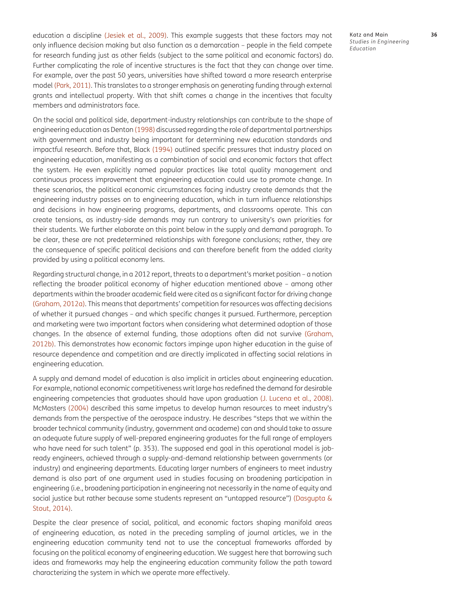education a discipline ([Jesiek et al., 2009\)](#page-22-10). This example suggests that these factors may not only influence decision making but also function as a demarcation – people in the field compete for research funding just as other fields (subject to the same political and economic factors) do. Further complicating the role of incentive structures is the fact that they can change over time. For example, over the past 50 years, universities have shifted toward a more research enterprise model (Park, 2011). This translates to a stronger emphasis on generating funding through external grants and intellectual property. With that shift comes a change in the incentives that faculty members and administrators face.

On the social and political side, department-industry relationships can contribute to the shape of engineering education as Denton [\(1998\)](#page-22-7) discussed regarding the role of departmental partnerships with government and industry being important for determining new education standards and impactful research. Before that, Black ([1994\)](#page-21-11) outlined specific pressures that industry placed on engineering education, manifesting as a combination of social and economic factors that affect the system. He even explicitly named popular practices like total quality management and continuous process improvement that engineering education could use to promote change. In these scenarios, the political economic circumstances facing industry create demands that the engineering industry passes on to engineering education, which in turn influence relationships and decisions in how engineering programs, departments, and classrooms operate. This can create tensions, as industry-side demands may run contrary to university's own priorities for their students. We further elaborate on this point below in the supply and demand paragraph. To be clear, these are not predetermined relationships with foregone conclusions; rather, they are the consequence of specific political decisions and can therefore benefit from the added clarity provided by using a political economy lens.

Regarding structural change, in a 2012 report, threats to a department's market position – a notion reflecting the broader political economy of higher education mentioned above – among other departments within the broader academic field were cited as a significant factor for driving change [\(Graham, 2012a](#page-22-11)). This means that departments' competition for resources was affecting decisions of whether it pursued changes – and which specific changes it pursued. Furthermore, perception and marketing were two important factors when considering what determined adoption of those changes. In the absence of external funding, those adoptions often did not survive [\(Graham,](#page-22-12)  [2012b](#page-22-12)). This demonstrates how economic factors impinge upon higher education in the guise of resource dependence and competition and are directly implicated in affecting social relations in engineering education.

A supply and demand model of education is also implicit in articles about engineering education. For example, national economic competitiveness writ large has redefined the demand for desirable engineering competencies that graduates should have upon graduation [\(J. Lucena et al., 2008](#page-23-10)). McMasters ([2004](#page-23-11)) described this same impetus to develop human resources to meet industry's demands from the perspective of the aerospace industry. He describes "steps that we within the broader technical community (industry, government and academe) can and should take to assure an adequate future supply of well-prepared engineering graduates for the full range of employers who have need for such talent" (p. 353). The supposed end goal in this operational model is jobready engineers, achieved through a supply-and-demand relationship between governments (or industry) and engineering departments. Educating larger numbers of engineers to meet industry demand is also part of one argument used in studies focusing on broadening participation in engineering (i.e., broadening participation in engineering not necessarily in the name of equity and social justice but rather because some students represent an "untapped resource") ([Dasgupta &](#page-22-13) [Stout, 2014](#page-22-13)).

Despite the clear presence of social, political, and economic factors shaping manifold areas of engineering education, as noted in the preceding sampling of journal articles, we in the engineering education community tend not to use the conceptual frameworks afforded by focusing on the political economy of engineering education. We suggest here that borrowing such ideas and frameworks may help the engineering education community follow the path toward characterizing the system in which we operate more effectively.

Katz and Main **36** *Studies in Engineering Education*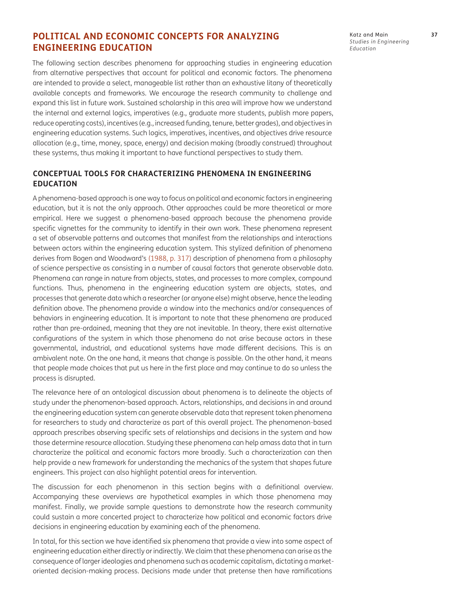# **POLITICAL AND ECONOMIC CONCEPTS FOR ANALYZING ENGINEERING EDUCATION**

The following section describes phenomena for approaching studies in engineering education from alternative perspectives that account for political and economic factors. The phenomena are intended to provide a select, manageable list rather than an exhaustive litany of theoretically available concepts and frameworks. We encourage the research community to challenge and expand this list in future work. Sustained scholarship in this area will improve how we understand the internal and external logics, imperatives (e.g., graduate more students, publish more papers, reduce operating costs), incentives (e.g., increased funding, tenure, better grades), and objectives in engineering education systems. Such logics, imperatives, incentives, and objectives drive resource allocation (e.g., time, money, space, energy) and decision making (broadly construed) throughout these systems, thus making it important to have functional perspectives to study them.

## **CONCEPTUAL TOOLS FOR CHARACTERIZING PHENOMENA IN ENGINEERING EDUCATION**

A phenomena-based approach is one way to focus on political and economic factors in engineering education, but it is not the only approach. Other approaches could be more theoretical or more empirical. Here we suggest a phenomena-based approach because the phenomena provide specific vignettes for the community to identify in their own work. These phenomena represent a set of observable patterns and outcomes that manifest from the relationships and interactions between actors within the engineering education system. This stylized definition of phenomena derives from Bogen and Woodward's ([1988,](#page-21-12) p. 317) description of phenomena from a philosophy of science perspective as consisting in a number of causal factors that generate observable data. Phenomena can range in nature from objects, states, and processes to more complex, compound functions. Thus, phenomena in the engineering education system are objects, states, and processes that generate data which a researcher (or anyone else) might observe, hence the leading definition above. The phenomena provide a window into the mechanics and/or consequences of behaviors in engineering education. It is important to note that these phenomena are produced rather than pre-ordained, meaning that they are not inevitable. In theory, there exist alternative configurations of the system in which those phenomena do not arise because actors in these governmental, industrial, and educational systems have made different decisions. This is an ambivalent note. On the one hand, it means that change is possible. On the other hand, it means that people made choices that put us here in the first place and may continue to do so unless the process is disrupted.

The relevance here of an ontological discussion about phenomena is to delineate the objects of study under the phenomenon-based approach. Actors, relationships, and decisions in and around the engineering education system can generate observable data that represent token phenomena for researchers to study and characterize as part of this overall project. The phenomenon-based approach prescribes observing specific sets of relationships and decisions in the system and how those determine resource allocation. Studying these phenomena can help amass data that in turn characterize the political and economic factors more broadly. Such a characterization can then help provide a new framework for understanding the mechanics of the system that shapes future engineers. This project can also highlight potential areas for intervention.

The discussion for each phenomenon in this section begins with a definitional overview. Accompanying these overviews are hypothetical examples in which those phenomena may manifest. Finally, we provide sample questions to demonstrate how the research community could sustain a more concerted project to characterize how political and economic factors drive decisions in engineering education by examining each of the phenomena.

In total, for this section we have identified six phenomena that provide a view into some aspect of engineering education either directly or indirectly. We claim that these phenomena can arise as the consequence of larger ideologies and phenomena such as academic capitalism, dictating a marketoriented decision-making process. Decisions made under that pretense then have ramifications

Katz and Main **37** *Studies in Engineering Education*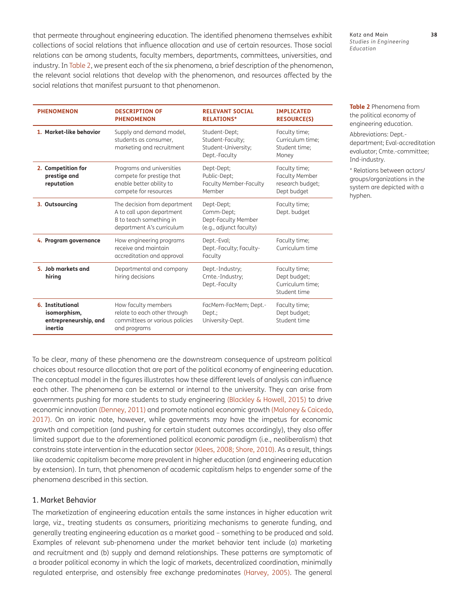that permeate throughout engineering education. The identified phenomena themselves exhibit collections of social relations that influence allocation and use of certain resources. Those social relations can be among students, faculty members, departments, committees, universities, and industry. In Table 2, we present each of the six phenomena, a brief description of the phenomenon, the relevant social relations that develop with the phenomenon, and resources affected by the social relations that manifest pursuant to that phenomenon.

| <b>PHENOMENON</b>                                                    | <b>DESCRIPTION OF</b><br><b>PHENOMENON</b>                                                                        | <b>RELEVANT SOCTAL</b><br><b>RELATIONS*</b>                                | <b>IMPLICATED</b><br><b>RESOURCE(S)</b>                                   |
|----------------------------------------------------------------------|-------------------------------------------------------------------------------------------------------------------|----------------------------------------------------------------------------|---------------------------------------------------------------------------|
| 1. Market-like behavior                                              | Supply and demand model,<br>students as consumer,<br>marketing and recruitment                                    | Student-Dept;<br>Student-Faculty;<br>Student-University;<br>Dept.-Faculty  | Faculty time;<br>Curriculum time;<br>Student time:<br>Money               |
| 2. Competition for<br>prestige and<br>reputation                     | Programs and universities<br>compete for prestige that<br>enable better ability to<br>compete for resources       | Dept-Dept;<br>Public-Dept;<br>Faculty Member-Faculty<br>Member             | Faculty time;<br><b>Faculty Member</b><br>research budget;<br>Dept budget |
| 3. Outsourcing                                                       | The decision from department<br>A to call upon department<br>B to teach something in<br>department A's curriculum | Dept-Dept;<br>Comm-Dept;<br>Dept-Faculty Member<br>(e.g., adjunct faculty) | Faculty time;<br>Dept. budget                                             |
| 4. Program governance                                                | How engineering programs<br>receive and maintain<br>accreditation and approval                                    | Dept.-Eval;<br>Dept.-Faculty; Faculty-<br>Faculty                          | Faculty time;<br>Curriculum time                                          |
| 5. Job markets and<br>hiring                                         | Departmental and company<br>hiring decisions                                                                      | Dept.-Industry;<br>Cmte.-Industry;<br>Dept.-Faculty                        | Faculty time;<br>Dept budget;<br>Curriculum time;<br>Student time         |
| 6. Institutional<br>isomorphism,<br>entrepreneurship, and<br>inertia | How faculty members<br>relate to each other through<br>committees or various policies<br>and programs             | FacMem-FacMem; Dept.-<br>Dept.;<br>University-Dept.                        | Faculty time;<br>Dept budget;<br>Student time                             |

**Table 2** Phenomena from the political economy of engineering education.

*Studies in Engineering* 

*Education*

Abbreviations: Dept. department; Eval-accreditation evaluator; Cmte.-committee; Ind-industry.

\* Relations between actors/ groups/organizations in the system are depicted with a hyphen.

To be clear, many of these phenomena are the downstream consequence of upstream political choices about resource allocation that are part of the political economy of engineering education. The conceptual model in the figures illustrates how these different levels of analysis can influence each other. The phenomena can be external or internal to the university. They can arise from governments pushing for more students to study engineering [\(Blackley & Howell, 2015](#page-21-13)) to drive economic innovation [\(Denney, 2011\)](#page-22-14) and promote national economic growth ([Maloney & Caicedo,](#page-23-12)  [2017](#page-23-12)). On an ironic note, however, while governments may have the impetus for economic growth and competition (and pushing for certain student outcomes accordingly), they also offer limited support due to the aforementioned political economic paradigm (i.e., neoliberalism) that constrains state intervention in the education sector [\(Klees, 2008](#page-22-15); Shore, 2010). As a result, things like academic capitalism become more prevalent in higher education (and engineering education by extension). In turn, that phenomenon of academic capitalism helps to engender some of the phenomena described in this section.

### 1. Market Behavior

The marketization of engineering education entails the same instances in higher education writ large, viz., treating students as consumers, prioritizing mechanisms to generate funding, and generally treating engineering education as a market good – something to be produced and sold. Examples of relevant sub-phenomena under the market behavior tent include (a) marketing and recruitment and (b) supply and demand relationships. These patterns are symptomatic of a broader political economy in which the logic of markets, decentralized coordination, minimally regulated enterprise, and ostensibly free exchange predominates ([Harvey, 2005](#page-22-4)). The general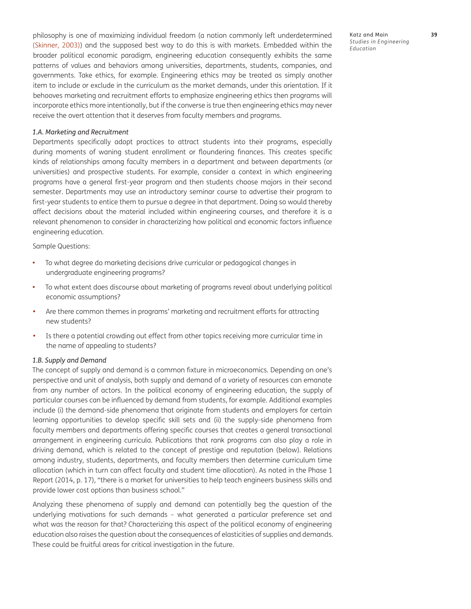philosophy is one of maximizing individual freedom (a notion commonly left underdetermined (Skinner, 2003)) and the supposed best way to do this is with markets. Embedded within the broader political economic paradigm, engineering education consequently exhibits the same patterns of values and behaviors among universities, departments, students, companies, and governments. Take ethics, for example. Engineering ethics may be treated as simply another item to include or exclude in the curriculum as the market demands, under this orientation. If it behooves marketing and recruitment efforts to emphasize engineering ethics then programs will incorporate ethics more intentionally, but if the converse is true then engineering ethics may never receive the overt attention that it deserves from faculty members and programs.

#### *1.A. Marketing and Recruitment*

Departments specifically adopt practices to attract students into their programs, especially during moments of waning student enrollment or floundering finances. This creates specific kinds of relationships among faculty members in a department and between departments (or universities) and prospective students. For example, consider a context in which engineering programs have a general first-year program and then students choose majors in their second semester. Departments may use an introductory seminar course to advertise their program to first-year students to entice them to pursue a degree in that department. Doing so would thereby affect decisions about the material included within engineering courses, and therefore it is a relevant phenomenon to consider in characterizing how political and economic factors influence engineering education.

Sample Questions:

- To what degree do marketing decisions drive curricular or pedagogical changes in undergraduate engineering programs?
- To what extent does discourse about marketing of programs reveal about underlying political economic assumptions?
- Are there common themes in programs' marketing and recruitment efforts for attracting new students?
- **•**  Is there a potential crowding out effect from other topics receiving more curricular time in the name of appealing to students?

#### *1.B. Supply and Demand*

The concept of supply and demand is a common fixture in microeconomics. Depending on one's perspective and unit of analysis, both supply and demand of a variety of resources can emanate from any number of actors. In the political economy of engineering education, the supply of particular courses can be influenced by demand from students, for example. Additional examples include (i) the demand-side phenomena that originate from students and employers for certain learning opportunities to develop specific skill sets and (ii) the supply-side phenomena from faculty members and departments offering specific courses that creates a general transactional arrangement in engineering curricula. Publications that rank programs can also play a role in driving demand, which is related to the concept of prestige and reputation (below). Relations among industry, students, departments, and faculty members then determine curriculum time allocation (which in turn can affect faculty and student time allocation). As noted in the Phase 1 Report (2014, p. 17), "there is a market for universities to help teach engineers business skills and provide lower cost options than business school."

Analyzing these phenomena of supply and demand can potentially beg the question of the underlying motivations for such demands – what generated a particular preference set and what was the reason for that? Characterizing this aspect of the political economy of engineering education also raises the question about the consequences of elasticities of supplies and demands. These could be fruitful areas for critical investigation in the future.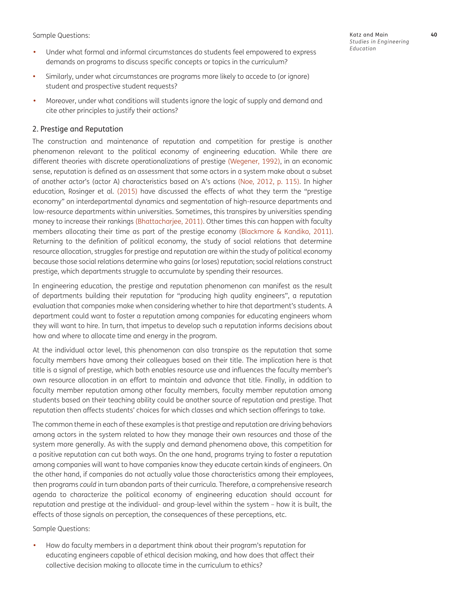Sample Questions:

- **•**  Under what formal and informal circumstances do students feel empowered to express demands on programs to discuss specific concepts or topics in the curriculum?
- **•**  Similarly, under what circumstances are programs more likely to accede to (or ignore) student and prospective student requests?
- **•**  Moreover, under what conditions will students ignore the logic of supply and demand and cite other principles to justify their actions?

## 2. Prestige and Reputation

The construction and maintenance of reputation and competition for prestige is another phenomenon relevant to the political economy of engineering education. While there are different theories with discrete operationalizations of prestige (Wegener, 1992), in an economic sense, reputation is defined as an assessment that some actors in a system make about a subset of another actor's (actor A) characteristics based on A's actions (Noe, 2012, p. 115). In higher education, Rosinger et al. (2015) have discussed the effects of what they term the "prestige economy" on interdepartmental dynamics and segmentation of high-resource departments and low-resource departments within universities. Sometimes, this transpires by universities spending money to increase their rankings [\(Bhattacharjee, 2011\)](#page-20-4). Other times this can happen with faculty members allocating their time as part of the prestige economy ([Blackmore & Kandiko, 2011](#page-21-14)). Returning to the definition of political economy, the study of social relations that determine resource allocation, struggles for prestige and reputation are within the study of political economy because those social relations determine who gains (or loses) reputation; social relations construct prestige, which departments struggle to accumulate by spending their resources.

In engineering education, the prestige and reputation phenomenon can manifest as the result of departments building their reputation for "producing high quality engineers", a reputation evaluation that companies make when considering whether to hire that department's students. A department could want to foster a reputation among companies for educating engineers whom they will want to hire. In turn, that impetus to develop such a reputation informs decisions about how and where to allocate time and energy in the program.

At the individual actor level, this phenomenon can also transpire as the reputation that some faculty members have among their colleagues based on their title. The implication here is that title is a signal of prestige, which both enables resource use and influences the faculty member's own resource allocation in an effort to maintain and advance that title. Finally, in addition to faculty member reputation among other faculty members, faculty member reputation among students based on their teaching ability could be another source of reputation and prestige. That reputation then affects students' choices for which classes and which section offerings to take.

The common theme in each of these examples is that prestige and reputation are driving behaviors among actors in the system related to how they manage their own resources and those of the system more generally. As with the supply and demand phenomena above, this competition for a positive reputation can cut both ways. On the one hand, programs trying to foster a reputation among companies will want to have companies know they educate certain kinds of engineers. On the other hand, if companies do not actually value those characteristics among their employees, then programs *could* in turn abandon parts of their curricula. Therefore, a comprehensive research agenda to characterize the political economy of engineering education should account for reputation and prestige at the individual- and group-level within the system – how it is built, the effects of those signals on perception, the consequences of these perceptions, etc.

Sample Questions:

How do faculty members in a department think about their program's reputation for educating engineers capable of ethical decision making, and how does that affect their collective decision making to allocate time in the curriculum to ethics?

Katz and Main **40** *Studies in Engineering Education*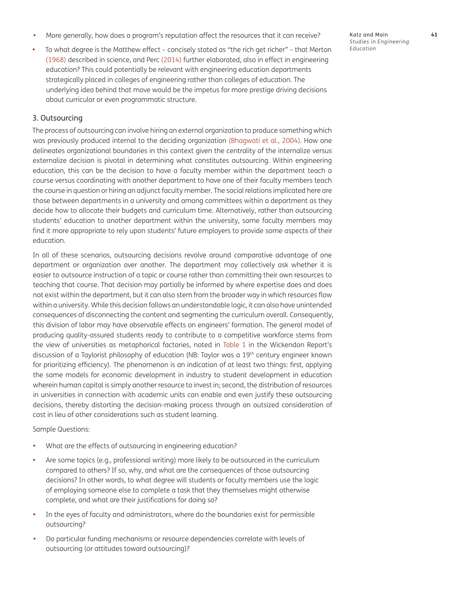- More generally, how does a program's reputation affect the resources that it can receive?
- To what degree is the Matthew effect concisely stated as "the rich get richer" that Merton [\(1968](#page-23-13)) described in science, and Perc (2014) further elaborated, also in effect in engineering education? This could potentially be relevant with engineering education departments strategically placed in colleges of engineering rather than colleges of education. The underlying idea behind that move would be the impetus for more prestige driving decisions about curricular or even programmatic structure.

### 3. Outsourcing

The process of outsourcing can involve hiring an external organization to produce something which was previously produced internal to the deciding organization [\(Bhagwati et al., 2004](#page-20-5)). How one delineates organizational boundaries in this context given the centrality of the internalize versus externalize decision is pivotal in determining what constitutes outsourcing. Within engineering education, this can be the decision to have a faculty member within the department teach a course versus coordinating with another department to have one of their faculty members teach the course in question or hiring an adjunct faculty member. The social relations implicated here are those between departments in a university and among committees within a department as they decide how to allocate their budgets and curriculum time. Alternatively, rather than outsourcing students' education to another department within the university, some faculty members may find it more appropriate to rely upon students' future employers to provide some aspects of their education.

In all of these scenarios, outsourcing decisions revolve around comparative advantage of one department or organization over another. The department may collectively ask whether it is easier to outsource instruction of a topic or course rather than committing their own resources to teaching that course. That decision may partially be informed by where expertise does and does not exist within the department, but it can also stem from the broader way in which resources flow within a university. While this decision follows an understandable logic, it can also have unintended consequences of disconnecting the content and segmenting the curriculum overall. Consequently, this division of labor may have observable effects on engineers' formation. The general model of producing quality-assured students ready to contribute to a competitive workforce stems from the view of universities as metaphorical factories, noted in Table 1 in the Wickendon Report's discussion of a Taylorist philosophy of education (NB: Taylor was a 19th century engineer known for prioritizing efficiency). The phenomenon is an indication of at least two things: first, applying the same models for economic development in industry to student development in education wherein human capital is simply another resource to invest in; second, the distribution of resources in universities in connection with academic units can enable and even justify these outsourcing decisions, thereby distorting the decision-making process through an outsized consideration of cost in lieu of other considerations such as student learning.

Sample Questions:

- What are the effects of outsourcing in engineering education?
- Are some topics (e.g., professional writing) more likely to be outsourced in the curriculum compared to others? If so, why, and what are the consequences of those outsourcing decisions? In other words, to what degree will students or faculty members use the logic of employing someone else to complete a task that they themselves might otherwise complete, and what are their justifications for doing so?
- In the eyes of faculty and administrators, where do the boundaries exist for permissible outsourcing?
- Do particular funding mechanisms or resource dependencies correlate with levels of outsourcing (or attitudes toward outsourcing)?

Katz and Main **41** *Studies in Engineering Education*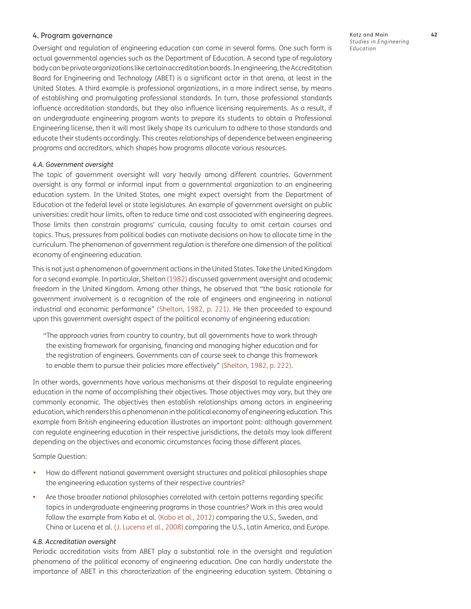### 4. Program governance

Oversight and regulation of engineering education can come in several forms. One such form is actual governmental agencies such as the Department of Education. A second type of regulatory body can be private organizations like certain accreditation boards. In engineering, the Accreditation Board for Engineering and Technology (ABET) is a significant actor in that arena, at least in the United States. A third example is professional organizations, in a more indirect sense, by means of establishing and promulgating professional standards. In turn, those professional standards influence accreditation standards, but they also influence licensing requirements. As a result, if an undergraduate engineering program wants to prepare its students to obtain a Professional Engineering license, then it will most likely shape its curriculum to adhere to those standards and educate their students accordingly. This creates relationships of dependence between engineering programs and accreditors, which shapes how programs allocate various resources.

### *4.A. Government oversight*

The topic of government oversight will vary heavily among different countries. Government oversight is any formal or informal input from a governmental organization to an engineering education system. In the United States, one might expect oversight from the Department of Education at the federal level or state legislatures. An example of government oversight on public universities: credit hour limits, often to reduce time and cost associated with engineering degrees. Those limits then constrain programs' curricula, causing faculty to omit certain courses and topics. Thus, pressures from political bodies can motivate decisions on how to allocate time in the curriculum. The phenomenon of government regulation is therefore one dimension of the political economy of engineering education.

This is not just a phenomenon of government actions in the United States. Take the United Kingdom for a second example. In particular, Shelton (1982) discussed government oversight and academic freedom in the United Kingdom. Among other things, he observed that "the basic rationale for government involvement is a recognition of the role of engineers and engineering in national industrial and economic performance" (Shelton, 1982, p. 221). He then proceeded to expound upon this government oversight aspect of the political economy of engineering education:

"The approach varies from country to country, but all governments have to work through the existing framework for organising, financing and managing higher education and for the registration of engineers. Governments can of course seek to change this framework to enable them to pursue their policies more effectively" (Shelton, 1982, p. 222).

In other words, governments have various mechanisms at their disposal to regulate engineering education in the name of accomplishing their objectives. Those objectives may vary, but they are commonly economic. The objectives then establish relationships among actors in engineering education, which renders this a phenomenon in the political economy of engineering education. This example from British engineering education illustrates an important point: although government can regulate engineering education in their respective jurisdictions, the details may look different depending on the objectives and economic circumstances facing those different places.

Sample Question:

- **•**  How do different national government oversight structures and political philosophies shape the engineering education systems of their respective countries?
- Are those broader national philosophies correlated with certain patterns regarding specific topics in undergraduate engineering programs in those countries? Work in this area would follow the example from Kabo et al. [\(Kabo et al., 2012\)](#page-22-16) comparing the U.S., Sweden, and China or Lucena et al. [\(J. Lucena et al., 2008\)](#page-23-10) comparing the U.S., Latin America, and Europe.

### *4.B. Accreditation oversight*

Periodic accreditation visits from ABET play a substantial role in the oversight and regulation phenomena of the political economy of engineering education. One can hardly understate the importance of ABET in this characterization of the engineering education system. Obtaining a Katz and Main **42** *Studies in Engineering Education*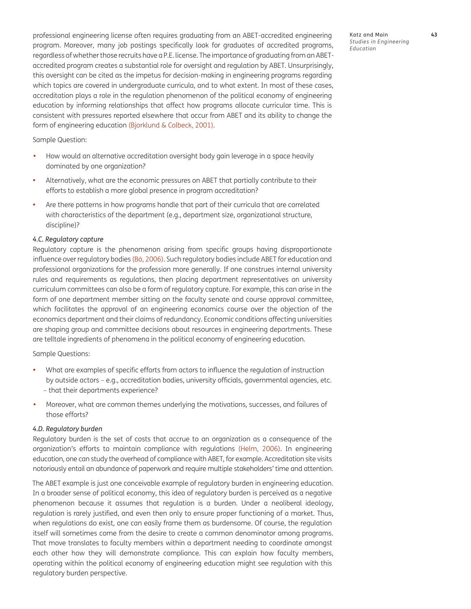professional engineering license often requires graduating from an ABET-accredited engineering program. Moreover, many job postings specifically look for graduates of accredited programs, regardless of whether those recruits have a P.E. license. The importance of graduating from an ABETaccredited program creates a substantial role for oversight and regulation by ABET. Unsurprisingly, this oversight can be cited as the impetus for decision-making in engineering programs regarding which topics are covered in undergraduate curricula, and to what extent. In most of these cases, accreditation plays a role in the regulation phenomenon of the political economy of engineering education by informing relationships that affect how programs allocate curricular time. This is consistent with pressures reported elsewhere that occur from ABET and its ability to change the form of engineering education [\(Bjorklund & Colbeck, 2001](#page-20-6)).

Sample Question:

- **•**  How would an alternative accreditation oversight body gain leverage in a space heavily dominated by one organization?
- **•**  Alternatively, what are the economic pressures on ABET that partially contribute to their efforts to establish a more global presence in program accreditation?
- Are there patterns in how programs handle that part of their curricula that are correlated with characteristics of the department (e.g., department size, organizational structure, discipline)?

#### *4.C. Regulatory capture*

Regulatory capture is the phenomenon arising from specific groups having disproportionate influence over regulatory bodies (Bó, 2006). Such regulatory bodies include ABET for education and professional organizations for the profession more generally. If one construes internal university rules and requirements as regulations, then placing department representatives on university curriculum committees can also be a form of regulatory capture. For example, this can arise in the form of one department member sitting on the faculty senate and course approval committee, which facilitates the approval of an engineering economics course over the objection of the economics department and their claims of redundancy. Economic conditions affecting universities are shaping group and committee decisions about resources in engineering departments. These are telltale ingredients of phenomena in the political economy of engineering education.

Sample Questions:

- **•**  What are examples of specific efforts from actors to influence the regulation of instruction by outside actors – e.g., accreditation bodies, university officials, governmental agencies, etc. – that their departments experience?
- **•**  Moreover, what are common themes underlying the motivations, successes, and failures of those efforts?

#### *4.D. Regulatory burden*

Regulatory burden is the set of costs that accrue to an organization as a consequence of the organization's efforts to maintain compliance with regulations ([Helm, 2006\)](#page-22-17). In engineering education, one can study the overhead of compliance with ABET, for example. Accreditation site visits notoriously entail an abundance of paperwork and require multiple stakeholders' time and attention.

The ABET example is just one conceivable example of regulatory burden in engineering education. In a broader sense of political economy, this idea of regulatory burden is perceived as a negative phenomenon because it assumes that regulation is a burden. Under a neoliberal ideology, regulation is rarely justified, and even then only to ensure proper functioning of a market. Thus, when regulations do exist, one can easily frame them as burdensome. Of course, the regulation itself will sometimes come from the desire to create a common denominator among programs. That move translates to faculty members within a department needing to coordinate amongst each other how they will demonstrate compliance. This can explain how faculty members, operating within the political economy of engineering education might see regulation with this regulatory burden perspective.

Katz and Main **43** *Studies in Engineering Education*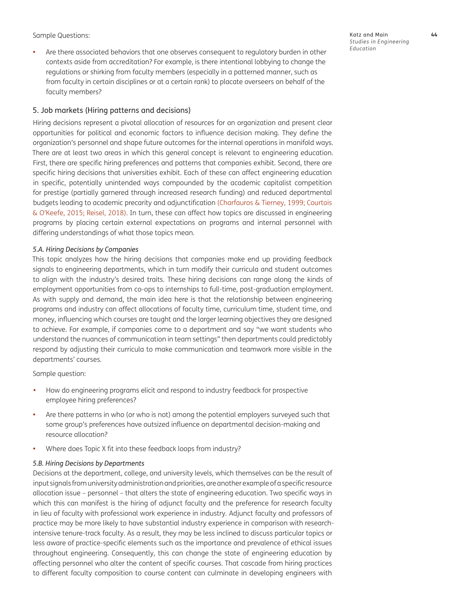Sample Questions:

• Are there associated behaviors that one observes consequent to regulatory burden in other contexts aside from accreditation? For example, is there intentional lobbying to change the regulations or shirking from faculty members (especially in a patterned manner, such as from faculty in certain disciplines or at a certain rank) to placate overseers on behalf of the faculty members?

### 5. Job markets (Hiring patterns and decisions)

Hiring decisions represent a pivotal allocation of resources for an organization and present clear opportunities for political and economic factors to influence decision making. They define the organization's personnel and shape future outcomes for the internal operations in manifold ways. There are at least two areas in which this general concept is relevant to engineering education. First, there are specific hiring preferences and patterns that companies exhibit. Second, there are specific hiring decisions that universities exhibit. Each of these can affect engineering education in specific, potentially unintended ways compounded by the academic capitalist competition for prestige (partially garnered through increased research funding) and reduced departmental budgets leading to academic precarity and adjunctification ([Charfauros & Tierney, 1999;](#page-21-15) Courtois & O'Keefe, 2015; Reisel, 2018). In turn, these can affect how topics are discussed in engineering programs by placing certain external expectations on programs and internal personnel with differing understandings of what those topics mean.

### *5.A. Hiring Decisions by Companies*

This topic analyzes how the hiring decisions that companies make end up providing feedback signals to engineering departments, which in turn modify their curricula and student outcomes to align with the industry's desired traits. These hiring decisions can range along the kinds of employment opportunities from co-ops to internships to full-time, post-graduation employment. As with supply and demand, the main idea here is that the relationship between engineering programs and industry can affect allocations of faculty time, curriculum time, student time, and money, influencing which courses are taught and the larger learning objectives they are designed to achieve. For example, if companies come to a department and say "we want students who understand the nuances of communication in team settings" then departments could predictably respond by adjusting their curricula to make communication and teamwork more visible in the departments' courses.

Sample question:

- **•**  How do engineering programs elicit and respond to industry feedback for prospective employee hiring preferences?
- Are there patterns in who (or who is not) among the potential employers surveyed such that some group's preferences have outsized influence on departmental decision-making and resource allocation?
- Where does Topic X fit into these feedback loops from industry?

#### *5.B. Hiring Decisions by Departments*

Decisions at the department, college, and university levels, which themselves can be the result of input signals from university administration and priorities, are another example of a specific resource allocation issue – personnel – that alters the state of engineering education. Two specific ways in which this can manifest is the hiring of adjunct faculty and the preference for research faculty in lieu of faculty with professional work experience in industry. Adjunct faculty and professors of practice may be more likely to have substantial industry experience in comparison with researchintensive tenure-track faculty. As a result, they may be less inclined to discuss particular topics or less aware of practice-specific elements such as the importance and prevalence of ethical issues throughout engineering. Consequently, this can change the state of engineering education by affecting personnel who alter the content of specific courses. That cascade from hiring practices to different faculty composition to course content can culminate in developing engineers with

Katz and Main **44** *Studies in Engineering Education*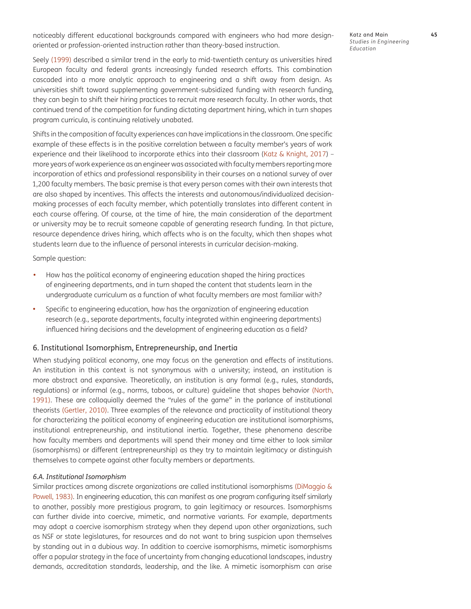noticeably different educational backgrounds compared with engineers who had more designoriented or profession-oriented instruction rather than theory-based instruction.

Katz and Main **45** *Studies in Engineering Education*

Seely (1999) described a similar trend in the early to mid-twentieth century as universities hired European faculty and federal grants increasingly funded research efforts. This combination cascaded into a more analytic approach to engineering and a shift away from design. As universities shift toward supplementing government-subsidized funding with research funding, they can begin to shift their hiring practices to recruit more research faculty. In other words, that continued trend of the competition for funding dictating department hiring, which in turn shapes program curricula, is continuing relatively unabated.

Shifts in the composition of faculty experiences can have implications in the classroom. One specific example of these effects is in the positive correlation between a faculty member's years of work experience and their likelihood to incorporate ethics into their classroom ([Katz & Knight, 2017](#page-22-18)) more years of work experience as an engineer was associated with faculty members reporting more incorporation of ethics and professional responsibility in their courses on a national survey of over 1,200 faculty members. The basic premise is that every person comes with their own interests that are also shaped by incentives. This affects the interests and autonomous/individualized decisionmaking processes of each faculty member, which potentially translates into different content in each course offering. Of course, at the time of hire, the main consideration of the department or university may be to recruit someone capable of generating research funding. In that picture, resource dependence drives hiring, which affects who is on the faculty, which then shapes what students learn due to the influence of personal interests in curricular decision-making.

Sample question:

- **•**  How has the political economy of engineering education shaped the hiring practices of engineering departments, and in turn shaped the content that students learn in the undergraduate curriculum as a function of what faculty members are most familiar with?
- **•**  Specific to engineering education, how has the organization of engineering education research (e.g., separate departments, faculty integrated within engineering departments) influenced hiring decisions and the development of engineering education as a field?

#### 6. Institutional Isomorphism, Entrepreneurship, and Inertia

When studying political economy, one may focus on the generation and effects of institutions. An institution in this context is not synonymous with a university; instead, an institution is more abstract and expansive. Theoretically, an institution is any formal (e.g., rules, standards, regulations) or informal (e.g., norms, taboos, or culture) guideline that shapes behavior (North, 1991). These are colloquially deemed the "rules of the game" in the parlance of institutional theorists ([Gertler, 2010](#page-22-19)). Three examples of the relevance and practicality of institutional theory for characterizing the political economy of engineering education are institutional isomorphisms, institutional entrepreneurship, and institutional inertia. Together, these phenomena describe how faculty members and departments will spend their money and time either to look similar (isomorphisms) or different (entrepreneurship) as they try to maintain legitimacy or distinguish themselves to compete against other faculty members or departments.

#### *6.A. Institutional Isomorphism*

Similar practices among discrete organizations are called institutional isomorphisms [\(DiMaggio &](#page-22-20) [Powell, 1983\)](#page-22-20). In engineering education, this can manifest as one program configuring itself similarly to another, possibly more prestigious program, to gain legitimacy or resources. Isomorphisms can further divide into coercive, mimetic, and normative variants. For example, departments may adopt a coercive isomorphism strategy when they depend upon other organizations, such as NSF or state legislatures, for resources and do not want to bring suspicion upon themselves by standing out in a dubious way. In addition to coercive isomorphisms, mimetic isomorphisms offer a popular strategy in the face of uncertainty from changing educational landscapes, industry demands, accreditation standards, leadership, and the like. A mimetic isomorphism can arise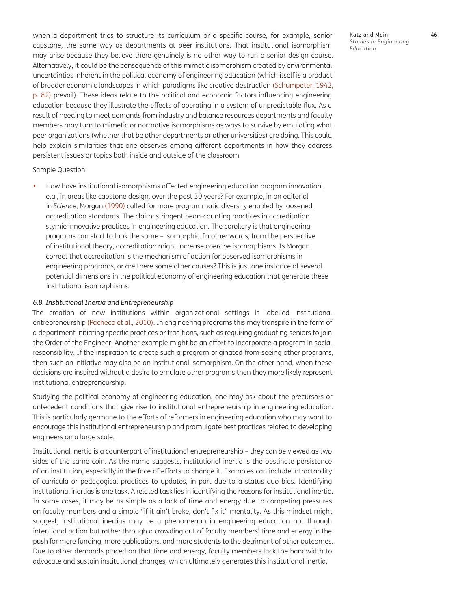when a department tries to structure its curriculum or a specific course, for example, senior capstone, the same way as departments at peer institutions. That institutional isomorphism may arise because they believe there genuinely is no other way to run a senior design course. Alternatively, it could be the consequence of this mimetic isomorphism created by environmental uncertainties inherent in the political economy of engineering education (which itself is a product of broader economic landscapes in which paradigms like creative destruction (Schumpeter, 1942, p. 82) prevail). These ideas relate to the political and economic factors influencing engineering education because they illustrate the effects of operating in a system of unpredictable flux. As a result of needing to meet demands from industry and balance resources departments and faculty members may turn to mimetic or normative isomorphisms as ways to survive by emulating what peer organizations (whether that be other departments or other universities) are doing. This could help explain similarities that one observes among different departments in how they address persistent issues or topics both inside and outside of the classroom.

Sample Question:

How have institutional isomorphisms affected engineering education program innovation, e.g., in areas like capstone design, over the past 30 years? For example, in an editorial in *Science*, Morgan [\(1990\)](#page-23-14) called for more programmatic diversity enabled by loosened accreditation standards. The claim: stringent bean-counting practices in accreditation stymie innovative practices in engineering education. The corollary is that engineering programs can start to look the same – isomorphic. In other words, from the perspective of institutional theory, accreditation might increase coercive isomorphisms. Is Morgan correct that accreditation is the mechanism of action for observed isomorphisms in engineering programs, or are there some other causes? This is just one instance of several potential dimensions in the political economy of engineering education that generate these institutional isomorphisms.

#### *6.B. Institutional Inertia and Entrepreneurship*

The creation of new institutions within organizational settings is labelled institutional entrepreneurship (Pacheco et al., 2010). In engineering programs this may transpire in the form of a department initiating specific practices or traditions, such as requiring graduating seniors to join the Order of the Engineer. Another example might be an effort to incorporate a program in social responsibility. If the inspiration to create such a program originated from seeing other programs, then such an initiative may also be an institutional isomorphism. On the other hand, when these decisions are inspired without a desire to emulate other programs then they more likely represent institutional entrepreneurship.

Studying the political economy of engineering education, one may ask about the precursors or antecedent conditions that give rise to institutional entrepreneurship in engineering education. This is particularly germane to the efforts of reformers in engineering education who may want to encourage this institutional entrepreneurship and promulgate best practices related to developing engineers on a large scale.

Institutional inertia is a counterpart of institutional entrepreneurship – they can be viewed as two sides of the same coin. As the name suggests, institutional inertia is the obstinate persistence of an institution, especially in the face of efforts to change it. Examples can include intractability of curricula or pedagogical practices to updates, in part due to a status quo bias. Identifying institutional inertias is one task. A related task lies in identifying the reasons for institutional inertia. In some cases, it may be as simple as a lack of time and energy due to competing pressures on faculty members and a simple "if it ain't broke, don't fix it" mentality. As this mindset might suggest, institutional inertias may be a phenomenon in engineering education not through intentional action but rather through a crowding out of faculty members' time and energy in the push for more funding, more publications, and more students to the detriment of other outcomes. Due to other demands placed on that time and energy, faculty members lack the bandwidth to advocate and sustain institutional changes, which ultimately generates this institutional inertia.

Katz and Main **46** *Studies in Engineering Education*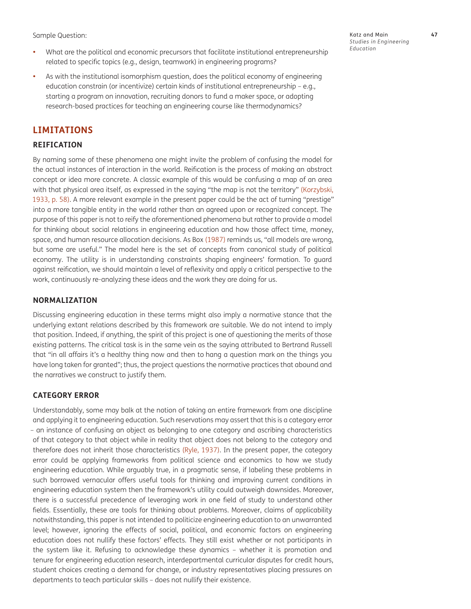Sample Question:

- **•**  What are the political and economic precursors that facilitate institutional entrepreneurship related to specific topics (e.g., design, teamwork) in engineering programs?
- **•**  As with the institutional isomorphism question, does the political economy of engineering education constrain (or incentivize) certain kinds of institutional entrepreneurship – e.g., starting a program on innovation, recruiting donors to fund a maker space, or adopting research-based practices for teaching an engineering course like thermodynamics?

# **LIMITATIONS**

# **REIFICATION**

By naming some of these phenomena one might invite the problem of confusing the model for the actual instances of interaction in the world. Reification is the process of making an abstract concept or idea more concrete. A classic example of this would be confusing a map of an area with that physical area itself, as expressed in the saying "the map is not the territory" [\(Korzybski,](#page-22-21)  [1933,](#page-22-21) p. 58). A more relevant example in the present paper could be the act of turning "prestige" into a more tangible entity in the world rather than an agreed upon or recognized concept. The purpose of this paper is not to reify the aforementioned phenomena but rather to provide a model for thinking about social relations in engineering education and how those affect time, money, space, and human resource allocation decisions. As Box ([1987](#page-21-16)) reminds us, "all models are wrong, but some are useful." The model here is the set of concepts from canonical study of political economy. The utility is in understanding constraints shaping engineers' formation. To guard against reification, we should maintain a level of reflexivity and apply a critical perspective to the work, continuously re-analyzing these ideas and the work they are doing for us.

## **NORMALIZATION**

Discussing engineering education in these terms might also imply a normative stance that the underlying extant relations described by this framework are suitable. We do not intend to imply that position. Indeed, if anything, the spirit of this project is one of questioning the merits of those existing patterns. The critical task is in the same vein as the saying attributed to Bertrand Russell that "in all affairs it's a healthy thing now and then to hang a question mark on the things you have long taken for granted"; thus, the project questions the normative practices that abound and the narratives we construct to justify them.

### **CATEGORY ERROR**

Understandably, some may balk at the notion of taking an entire framework from one discipline and applying it to engineering education. Such reservations may assert that this is a category error – an instance of confusing an object as belonging to one category and ascribing characteristics of that category to that object while in reality that object does not belong to the category and therefore does not inherit those characteristics (Ryle, 1937). In the present paper, the category error could be applying frameworks from political science and economics to how we study engineering education. While arguably true, in a pragmatic sense, if labeling these problems in such borrowed vernacular offers useful tools for thinking and improving current conditions in engineering education system then the framework's utility could outweigh downsides. Moreover, there is a successful precedence of leveraging work in one field of study to understand other fields. Essentially, these are tools for thinking about problems. Moreover, claims of applicability notwithstanding, this paper is not intended to politicize engineering education to an unwarranted level; however, ignoring the effects of social, political, and economic factors on engineering education does not nullify these factors' effects. They still exist whether or not participants in the system like it. Refusing to acknowledge these dynamics – whether it is promotion and tenure for engineering education research, interdepartmental curricular disputes for credit hours, student choices creating a demand for change, or industry representatives placing pressures on departments to teach particular skills – does not nullify their existence.

Katz and Main **47** *Studies in Engineering Education*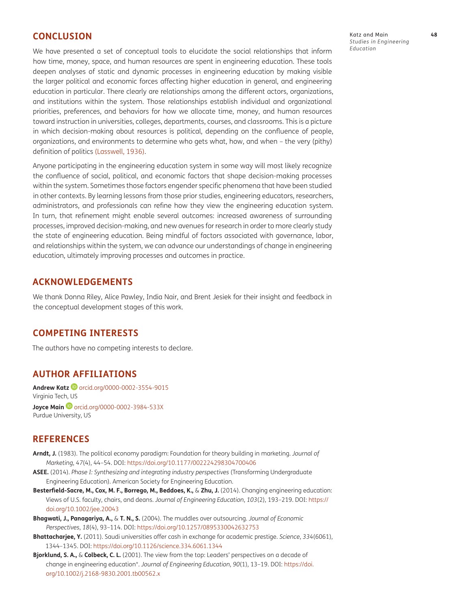# **CONCLUSION**

We have presented a set of conceptual tools to elucidate the social relationships that inform how time, money, space, and human resources are spent in engineering education. These tools deepen analyses of static and dynamic processes in engineering education by making visible the larger political and economic forces affecting higher education in general, and engineering education in particular. There clearly are relationships among the different actors, organizations, and institutions within the system. Those relationships establish individual and organizational priorities, preferences, and behaviors for how we allocate time, money, and human resources toward instruction in universities, colleges, departments, courses, and classrooms. This is a picture in which decision-making about resources is political, depending on the confluence of people, organizations, and environments to determine who gets what, how, and when – the very (pithy) definition of politics [\(Lasswell, 1936\)](#page-22-22).

Anyone participating in the engineering education system in some way will most likely recognize the confluence of social, political, and economic factors that shape decision-making processes within the system. Sometimes those factors engender specific phenomena that have been studied in other contexts. By learning lessons from those prior studies, engineering educators, researchers, administrators, and professionals can refine how they view the engineering education system. In turn, that refinement might enable several outcomes: increased awareness of surrounding processes, improved decision-making, and new avenues for research in order to more clearly study the state of engineering education. Being mindful of factors associated with governance, labor, and relationships within the system, we can advance our understandings of change in engineering education, ultimately improving processes and outcomes in practice.

# **ACKNOWLEDGEMENTS**

We thank Donna Riley, Alice Pawley, India Nair, and Brent Jesiek for their insight and feedback in the conceptual development stages of this work.

# **COMPETING INTERESTS**

The authors have no competing interests to declare.

# <span id="page-20-0"></span>**AUTHOR AFFILIATIONS**

**Andrew Katz D** [orcid.org/0000-0002-3554-9015](https://orcid.org/0000-0002-3554-9015) Virginia Tech, US **JoyceMain D** [orcid.org/0000-0002-3984-533X](https://orcid.org/0000-0002-3984-533X) Purdue University, US

# **REFERENCES**

- <span id="page-20-1"></span>**Arndt, J.** (1983). The political economy paradigm: Foundation for theory building in marketing. *Journal of Marketing*, *47*(4), 44–54. DOI: [https://doi.org/10.1177/002224298304700406](https://doi.org/10.1177/002224298304700406 )
- <span id="page-20-2"></span>**ASEE.** (2014). *Phase I: Synthesizing and integrating industry perspectives* (Transforming Undergraduate Engineering Education). American Society for Engineering Education.
- <span id="page-20-3"></span>**Besterfield-Sacre, M., Cox, M. F., Borrego, M., Beddoes, K.,** & **Zhu, J.** (2014). Changing engineering education: Views of U.S. faculty, chairs, and deans. *Journal of Engineering Education*, *103*(2), 193–219. DOI: [https://](https://doi.org/10.1002/jee.20043 ) [doi.org/10.1002/jee.20043](https://doi.org/10.1002/jee.20043 )
- <span id="page-20-5"></span>**Bhagwati, J., Panagariya, A.,** & **T. N., S.** (2004). The muddles over outsourcing. *Journal of Economic Perspectives*, *18*(4), 93–114. DOI: [https://doi.org/10.1257/0895330042632753](https://doi.org/10.1257/0895330042632753 )
- <span id="page-20-4"></span>**Bhattacharjee, Y.** (2011). Saudi universities offer cash in exchange for academic prestige. *Science*, *334*(6061), 1344–1345. DOI: [https://doi.org/10.1126/science.334.6061.1344](https://doi.org/10.1126/science.334.6061.1344 )
- <span id="page-20-6"></span>**Bjorklund, S. A.,** & **Colbeck, C. L.** (2001). The view from the top: Leaders' perspectives on a decade of change in engineering education\*. *Journal of Engineering Education*, *90*(1), 13–19. DOI: [https://doi.](https://doi.org/10.1002/j.2168-9830.2001.tb00562.x ) [org/10.1002/j.2168-9830.2001.tb00562.x](https://doi.org/10.1002/j.2168-9830.2001.tb00562.x )

Katz and Main **48** *Studies in Engineering Education*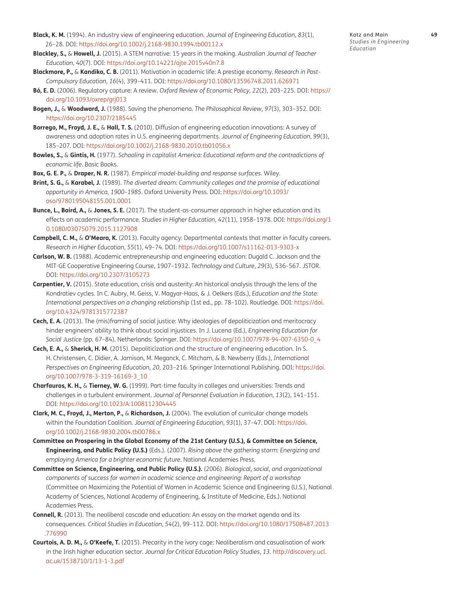- <span id="page-21-11"></span>**Black, K. M.** (1994). An industry view of engineering education. *Journal of Engineering Education*, *83*(1), 26–28. DOI: [https://doi.org/10.1002/j.2168-9830.1994.tb00112.x](https://doi.org/10.1002/j.2168-9830.1994.tb00112.x )
- <span id="page-21-13"></span>**Blackley, S.,** & **Howell, J.** (2015). A STEM narrative: 15 years in the making. *Australian Journal of Teacher Education*, *40*(7). DOI: [https://doi.org/10.14221/ajte.2015v40n7.8](https://doi.org/10.14221/ajte.2015v40n7.8 )
- <span id="page-21-14"></span>**Blackmore, P.,** & **Kandiko, C. B.** (2011). Motivation in academic life: A prestige economy. *Research in Post-Compulsory Education*, *16*(4), 399–411. DOI: [https://doi.org/10.1080/13596748.2011.626971](https://doi.org/10.1080/13596748.2011.626971 )
- **Bó, E. D.** (2006). Regulatory capture: A review. *Oxford Review of Economic Policy*, *22*(2), 203–225. DOI: [https://](https://doi.org/10.1093/oxrep/grj013 ) [doi.org/10.1093/oxrep/grj013](https://doi.org/10.1093/oxrep/grj013 )
- <span id="page-21-12"></span>**Bogen, J.,** & **Woodward, J.** (1988). Saving the phenomena. *The Philosophical Review*, *97*(3), 303–352. DOI: [https://doi.org/10.2307/2185445](https://doi.org/10.2307/2185445 )
- <span id="page-21-10"></span>**Borrego, M., Froyd, J. E.,** & **Hall, T. S.** (2010). Diffusion of engineering education innovations: A survey of awareness and adoption rates in U.S. engineering departments. *Journal of Engineering Education*, *99*(3), 185–207. DOI: [https://doi.org/10.1002/j.2168-9830.2010.tb01056.x](https://doi.org/10.1002/j.2168-9830.2010.tb01056.x )
- <span id="page-21-1"></span>**Bowles, S.,** & **Gintis, H.** (1977). *Schooling in capitalist America: Educational reform and the contradictions of economic life*. Basic Books.
- <span id="page-21-16"></span>**Box, G. E. P.,** & **Draper, N. R.** (1987). *Empirical model-building and response surfaces*. Wiley.
- <span id="page-21-2"></span>**Brint, S. G.,** & **Karabel, J.** (1989). *The diverted dream: Community colleges and the promise of educational opportunity in America, 1900–1985*. Oxford University Press. DOI: [https://doi.org/10.1093/](https://doi.org/10.1093/oso/9780195048155.001.0001 ) [oso/9780195048155.001.0001](https://doi.org/10.1093/oso/9780195048155.001.0001 )
- <span id="page-21-7"></span>**Bunce, L., Baird, A.,** & **Jones, S. E.** (2017). The student-as-consumer approach in higher education and its effects on academic performance. *Studies in Higher Education*, *42*(11), 1958–1978. DOI: [https://doi.org/1](https://doi.org/10.1080/03075079.2015.1127908 ) [0.1080/03075079.2015.1127908](https://doi.org/10.1080/03075079.2015.1127908 )
- **Campbell, C. M.,** & **O'Meara, K.** (2013). Faculty agency: Departmental contexts that matter in faculty careers. *Research in Higher Education*, *55*(1), 49–74. DOI: [https://doi.org/10.1007/s11162-013-9303-x](https://doi.org/10.1007/s11162-013-9303-x )
- <span id="page-21-8"></span>**Carlson, W. B.** (1988). Academic entrepreneurship and engineering education: Dugald C. Jackson and the MIT-GE Cooperative Engineering Course, 1907–1932. *Technology and Culture*, *29*(3), 536–567. JSTOR. DOI: [https://doi.org/10.2307/3105273](https://doi.org/10.2307/3105273 )
- <span id="page-21-0"></span>**Carpentier, V.** (2015). State education, crisis and austerity: An historical analysis through the lens of the Kondratiev cycles. In C. Aubry, M. Geiss, V. Magyar-Haas, & J. Oelkers (Eds.), *Education and the State: International perspectives on a changing relationship* (1st ed., pp. 78–102). Routledge. DOI: [https://doi.](https://doi.org/10.4324/9781315772387 ) [org/10.4324/9781315772387](https://doi.org/10.4324/9781315772387 )
- <span id="page-21-4"></span>**Cech, E. A.** (2013). The (mis)framing of social justice: Why ideologies of depoliticization and meritocracy hinder engineers' ability to think about social injustices. In J. Lucena (Ed.), *Engineering Education for Social Justice* (pp. 67–84). Netherlands: Springer. DOI: [https://doi.org/10.1007/978-94-007-6350-0\\_4](https://doi.org/10.1007/978-94-007-6350-0_4 )
- <span id="page-21-5"></span>**Cech, E. A.,** & **Sherick, H. M.** (2015). Depoliticization and the structure of engineering education. In S. H. Christensen, C. Didier, A. Jamison, M. Meganck, C. Mitcham, & B. Newberry (Eds.), *International Perspectives on Engineering Education, 20*, 203–216. Springer International Publishing. DOI: [https://doi.](https://doi.org/10.1007/978-3-319-16169-3_10 ) [org/10.1007/978-3-319-16169-3\\_10](https://doi.org/10.1007/978-3-319-16169-3_10 )
- <span id="page-21-15"></span>**Charfauros, K. H.,** & **Tierney, W. G.** (1999). Part-time faculty in colleges and universities: Trends and challenges in a turbulent environment. *Journal of Personnel Evaluation in Education*, *13*(2), 141–151. DOI: [https://doi.org/10.1023/A:1008112304445](https://doi.org/10.1023/A:1008112304445 )
- <span id="page-21-9"></span>**Clark, M. C., Froyd, J., Merton, P.,** & **Richardson, J.** (2004). The evolution of curricular change models within the Foundation Coalition. *Journal of Engineering Education*, *93*(1), 37–47. DOI: [https://doi.](https://doi.org/10.1002/j.2168-9830.2004.tb00786.x ) [org/10.1002/j.2168-9830.2004.tb00786.x](https://doi.org/10.1002/j.2168-9830.2004.tb00786.x )
- <span id="page-21-3"></span>**Committee on Prospering in the Global Economy of the 21st Century (U.S.), & Committee on Science, Engineering, and Public Policy (U.S.)** (Eds.). (2007). *Rising above the gathering storm: Energizing and employing America for a brighter economic future*. National Academies Press.
- **Committee on Science, Engineering, and Public Policy (U.S.).** (2006). *Biological, social, and organizational components of success for women in academic science and engineering: Report of a workshop* (Committee on Maximizing the Potential of Women in Academic Science and Engineering (U.S.), National Academy of Sciences, National Academy of Engineering, & Institute of Medicine, Eds.). National Academies Press.
- <span id="page-21-6"></span>**Connell, R.** (2013). The neoliberal cascade and education: An essay on the market agenda and its consequences. *Critical Studies in Education*, *54*(2), 99–112. DOI: [https://doi.org/10.1080/17508487.2013](https://doi.org/10.1080/17508487.2013.776990 ) [.776990](https://doi.org/10.1080/17508487.2013.776990 )
- **Courtois, A. D. M.,** & **O'Keefe, T.** (2015). Precarity in the ivory cage: Neoliberalism and casualisation of work in the Irish higher education sector. *Journal for Critical Education Policy Studies*, *13*. [http://discovery.ucl.](http://discovery.ucl.ac.uk/1538710/1/13-1-3.pdf ) [ac.uk/1538710/1/13-1-3.pdf](http://discovery.ucl.ac.uk/1538710/1/13-1-3.pdf )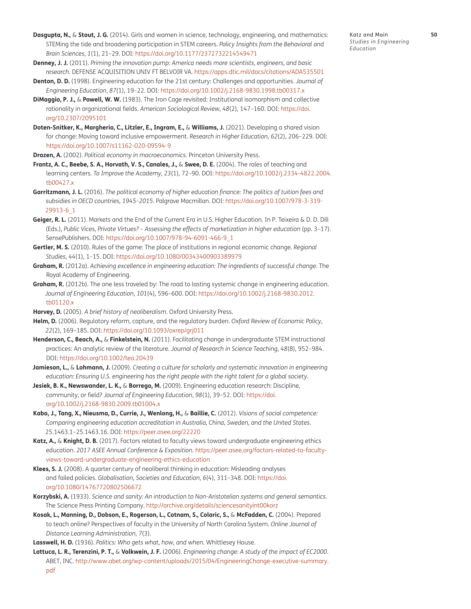- <span id="page-22-14"></span><span id="page-22-13"></span>**Denney, J. J.** (2011). *Priming the innovation pump: America needs more scientists, engineers, and basic research*. DEFENSE ACQUISITION UNIV FT BELVOIR VA. [https://apps.dtic.mil/docs/citations/ADA535501](https://apps.dtic.mil/docs/citations/ADA535501 )
- <span id="page-22-7"></span>**Denton, D. D.** (1998). Engineering education for the 21st century: Challenges and opportunities. *Journal of Engineering Education*, *87*(1), 19–22. DOI: [https://doi.org/10.1002/j.2168-9830.1998.tb00317.x](https://doi.org/10.1002/j.2168-9830.1998.tb00317.x )
- <span id="page-22-20"></span>**DiMaggio, P. J.,** & **Powell, W. W.** (1983). The Iron Cage revisited: Institutional isomorphism and collective rationality in organizational fields. *American Sociological Review*, *48*(2), 147–160. DOI: [https://doi.](https://doi.org/10.2307/2095101 ) [org/10.2307/2095101](https://doi.org/10.2307/2095101 )
- **Doten-Snitker, K., Margherio, C., Litzler, E., Ingram, E.,** & **Williams, J.** (2021). Developing a shared vision for change: Moving toward inclusive empowerment. *Research in Higher Education*, *62*(2), 206–229. DOI: [https://doi.org/10.1007/s11162-020-09594-9](https://doi.org/10.1007/s11162-020-09594-9 )
- <span id="page-22-0"></span>**Drazen, A.** (2002). *Political economy in macroeconomics*. Princeton University Press.
- <span id="page-22-1"></span>**Frantz, A. C., Beebe, S. A., Horvath, V. S., Canales, J.,** & **Swee, D. E.** (2004). The roles of teaching and learning centers. *To Improve the Academy*, *23*(1), 72–90. DOI: [https://doi.org/10.1002/j.2334-4822.2004.](https://doi.org/10.1002/j.2334-4822.2004.tb00427.x ) [tb00427.x](https://doi.org/10.1002/j.2334-4822.2004.tb00427.x )
- <span id="page-22-5"></span>**Garritzmann, J. L.** (2016). *The political economy of higher education finance: The politics of tuition fees and subsidies in OECD countries, 1945–2015*. Palgrave Macmillan. DOI: [https://doi.org/10.1007/978-3-319-](https://doi.org/10.1007/978-3-319-29913-6_1 ) [29913-6\\_1](https://doi.org/10.1007/978-3-319-29913-6_1 )
- <span id="page-22-6"></span>**Geiger, R. L.** (2011). Markets and the End of the Current Era in U.S. Higher Education. In P. Teixeira & D. D. Dill (Eds.), *Public Vices, Private Virtues? – Assessing the effects of marketization in higher education* (pp. 3–17). SensePublishers. DOI: [https://doi.org/10.1007/978-94-6091-466-9\\_1](https://doi.org/10.1007/978-94-6091-466-9_1 )
- <span id="page-22-19"></span>**Gertler, M. S.** (2010). Rules of the game: The place of institutions in regional economic change. *Regional Studies*, *44*(1), 1–15. DOI: [https://doi.org/10.1080/00343400903389979](https://doi.org/10.1080/00343400903389979 )
- <span id="page-22-11"></span>**Graham, R.** (2012a). *Achieving excellence in engineering education: The ingredients of successful change*. The Royal Academy of Engineering.
- <span id="page-22-12"></span>**Graham, R.** (2012b). The one less traveled by: The road to lasting systemic change in engineering education. *Journal of Engineering Education*, *101*(4), 596–600. DOI: [https://doi.org/10.1002/j.2168-9830.2012.](https://doi.org/10.1002/j.2168-9830.2012.tb01120.x ) [tb01120.x](https://doi.org/10.1002/j.2168-9830.2012.tb01120.x )
- <span id="page-22-4"></span>**Harvey, D.** (2005). *A brief history of neoliberalism*. Oxford University Press.
- <span id="page-22-17"></span>**Helm, D.** (2006). Regulatory reform, capture, and the regulatory burden. *Oxford Review of Economic Policy*, *22*(2), 169–185. DOI: [https://doi.org/10.1093/oxrep/grj011](https://doi.org/10.1093/oxrep/grj011 )
- <span id="page-22-8"></span>**Henderson, C., Beach, A.,** & **Finkelstein, N.** (2011). Facilitating change in undergraduate STEM instructional practices: An analytic review of the literature. *Journal of Research in Science Teaching*, *48*(8), 952–984. DOI: [https://doi.org/10.1002/tea.20439](https://doi.org/10.1002/tea.20439 )
- <span id="page-22-9"></span>**Jamieson, L.,** & **Lohmann, J.** (2009). *Creating a culture for scholarly and systematic innovation in engineering education: Ensuring U.S. engineering has the right people with the right talent for a global society*.
- <span id="page-22-10"></span>**Jesiek, B. K., Newswander, L. K.,** & **Borrego, M.** (2009). Engineering education research: Discipline, community, or field? *Journal of Engineering Education*, *98*(1), 39–52. DOI: [https://doi.](https://doi.org/10.1002/j.2168-9830.2009.tb01004.x ) [org/10.1002/j.2168-9830.2009.tb01004.x](https://doi.org/10.1002/j.2168-9830.2009.tb01004.x )
- <span id="page-22-16"></span>**Kabo, J., Tang, X., Nieusma, D., Currie, J., Wenlong, H.,** & **Baillie, C.** (2012). *Visions of social competence: Comparing engineering education accreditation in Australia, China, Sweden, and the United States*. 25.1463.1–25.1463.16. DOI: [https://peer.asee.org/22220](https://peer.asee.org/22220 )
- <span id="page-22-18"></span>**Katz, A.,** & **Knight, D. B.** (2017). Factors related to faculty views toward undergraduate engineering ethics education. *2017 ASEE Annual Conference & Exposition*. [https://peer.asee.org/factors-related-to-faculty](https://peer.asee.org/factors-related-to-faculty-views-toward-undergraduate-engineering-ethics-education )[views-toward-undergraduate-engineering-ethics-education](https://peer.asee.org/factors-related-to-faculty-views-toward-undergraduate-engineering-ethics-education )
- <span id="page-22-15"></span>**Klees, S. J.** (2008). A quarter century of neoliberal thinking in education: Misleading analyses and failed policies. *Globalisation, Societies and Education*, *6*(4), 311–348. DOI: [https://doi.](https://doi.org/10.1080/14767720802506672 ) [org/10.1080/14767720802506672](https://doi.org/10.1080/14767720802506672 )
- <span id="page-22-21"></span>**Korzybski, A.** (1933). *Science and sanity: An introduction to Non-Aristotelian systems and general semantics*. The Science Press Printing Company. [http://archive.org/details/sciencesanityint00korz](http://archive.org/details/sciencesanityint00korz )
- <span id="page-22-3"></span>**Kosak, L., Manning, D., Dobson, E., Rogerson, L., Cotnam, S., Colaric, S.,** & **McFadden, C.** (2004). Prepared to teach online? Perspectives of faculty in the University of North Carolina System. *Online Journal of Distance Learning Administration*, *7*(3).
- <span id="page-22-22"></span>**Lasswell, H. D.** (1936). *Politics: Who gets what, how, and when*. Whittlesey House.
- <span id="page-22-2"></span>**Lattuca, L. R., Terenzini, P. T.,** & **Volkwein, J. F.** (2006). *Engineering change: A study of the impact of EC2000*. ABET, INC. [http://www.abet.org/wp-content/uploads/2015/04/EngineeringChange-executive-summary.](http://www.abet.org/wp-content/uploads/2015/04/EngineeringChange-executive-summary.pdf ) [pdf](http://www.abet.org/wp-content/uploads/2015/04/EngineeringChange-executive-summary.pdf )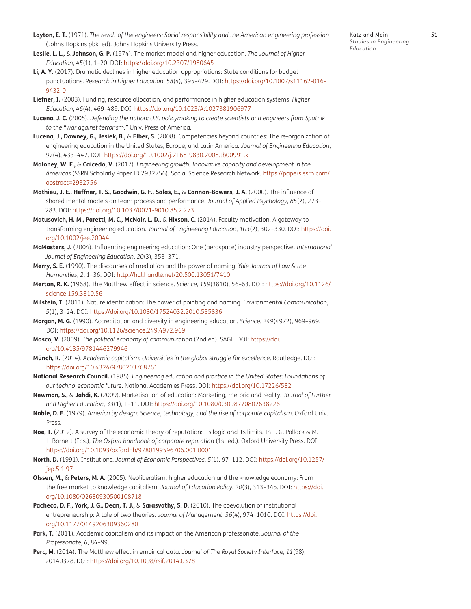- <span id="page-23-7"></span>**Layton, E. T.** (1971). *The revolt of the engineers: Social responsibility and the American engineering profession* (Johns Hopkins pbk. ed). Johns Hopkins University Press.
- <span id="page-23-5"></span>**Leslie, L. L.,** & **Johnson, G. P.** (1974). The market model and higher education. *The Journal of Higher Education*, *45*(1), 1–20. DOI: [https://doi.org/10.2307/1980645](https://doi.org/10.2307/1980645 )
- <span id="page-23-4"></span>**Li, A. Y.** (2017). Dramatic declines in higher education appropriations: State conditions for budget punctuations. *Research in Higher Education*, *58*(4), 395–429. DOI: [https://doi.org/10.1007/s11162-016-](https://doi.org/10.1007/s11162-016-9432-0 ) [9432-0](https://doi.org/10.1007/s11162-016-9432-0 )
- <span id="page-23-6"></span>**Liefner, I.** (2003). Funding, resource allocation, and performance in higher education systems. *Higher Education*, *46*(4), 469–489. DOI: [https://doi.org/10.1023/A:1027381906977](https://doi.org/10.1023/A:1027381906977 )
- <span id="page-23-8"></span>**Lucena, J. C.** (2005). *Defending the nation: U.S. policymaking to create scientists and engineers from Sputnik to the "war against terrorism."* Univ. Press of America.
- <span id="page-23-10"></span>**Lucena, J., Downey, G., Jesiek, B.,** & **Elber, S.** (2008). Competencies beyond countries: The re-organization of engineering education in the United States, Europe, and Latin America. *Journal of Engineering Education*, *97*(4), 433–447. DOI: [https://doi.org/10.1002/j.2168-9830.2008.tb00991.x](https://doi.org/10.1002/j.2168-9830.2008.tb00991.x )
- <span id="page-23-12"></span>**Maloney, W. F.,** & **Caicedo, V.** (2017). *Engineering growth: Innovative capacity and development in the Americas* (SSRN Scholarly Paper ID 2932756). Social Science Research Network. [https://papers.ssrn.com/](https://papers.ssrn.com/abstract=2932756 ) [abstract=2932756](https://papers.ssrn.com/abstract=2932756 )
- <span id="page-23-3"></span>**Mathieu, J. E., Heffner, T. S., Goodwin, G. F., Salas, E.,** & **Cannon-Bowers, J. A.** (2000). The influence of shared mental models on team process and performance. *Journal of Applied Psychology*, *85*(2), 273– 283. DOI: [https://doi.org/10.1037/0021-9010.85.2.273](https://doi.org/10.1037/0021-9010.85.2.273 )
- <span id="page-23-9"></span>**Matusovich, H. M., Paretti, M. C., McNair, L. D.,** & **Hixson, C.** (2014). Faculty motivation: A gateway to transforming engineering education. *Journal of Engineering Education*, *103*(2), 302–330. DOI: [https://doi.](https://doi.org/10.1002/jee.20044 ) [org/10.1002/jee.20044](https://doi.org/10.1002/jee.20044 )
- <span id="page-23-11"></span>**McMasters, J.** (2004). Influencing engineering education: One (aerospace) industry perspective. *International Journal of Engineering Education*, *20*(3), 353–371.
- <span id="page-23-1"></span>**Merry, S. E.** (1990). The discourses of mediation and the power of naming. *Yale Journal of Law & the Humanities*, *2*, 1–36. DOI: [http://hdl.handle.net/20.500.13051/7410](http://hdl.handle.net/20.500.13051/7410 )
- <span id="page-23-13"></span>**Merton, R. K.** (1968). The Matthew effect in science. *Science*, *159*(3810), 56–63. DOI: [https://doi.org/10.1126/](https://doi.org/10.1126/science.159.3810.56 ) [science.159.3810.56](https://doi.org/10.1126/science.159.3810.56 )
- <span id="page-23-2"></span>**Milstein, T.** (2011). Nature identification: The power of pointing and naming. *Environmental Communication*, *5*(1), 3–24. DOI: [https://doi.org/10.1080/17524032.2010.535836](https://doi.org/10.1080/17524032.2010.535836 )
- <span id="page-23-14"></span>**Morgan, M. G.** (1990). Accreditation and diversity in engineering education. *Science*, *249*(4972), 969–969. DOI: [https://doi.org/10.1126/science.249.4972.969](https://doi.org/10.1126/science.249.4972.969 )
- <span id="page-23-0"></span>**Mosco, V.** (2009). *The political economy of communication* (2nd ed). SAGE. DOI: [https://doi.](https://doi.org/10.4135/9781446279946 ) [org/10.4135/9781446279946](https://doi.org/10.4135/9781446279946 )
- **Münch, R.** (2014). *Academic capitalism: Universities in the global struggle for excellence*. Routledge. DOI: [https://doi.org/10.4324/9780203768761](https://doi.org/10.4324/9780203768761 )
- **National Research Council.** (1985). *Engineering education and practice in the United States: Foundations of our techno-economic future*. National Academies Press. DOI: [https://doi.org/10.17226/582](https://doi.org/10.17226/582 )
- **Newman, S.,** & **Jahdi, K.** (2009). Marketisation of education: Marketing, rhetoric and reality. *Journal of Further and Higher Education*, *33*(1), 1–11. DOI: [https://doi.org/10.1080/03098770802638226](https://doi.org/10.1080/03098770802638226 )
- **Noble, D. F.** (1979). *America by design: Science, technology, and the rise of corporate capitalism*. Oxford Univ. Press.
- **Noe, T.** (2012). A survey of the economic theory of reputation: Its logic and its limits. In T. G. Pollock & M. L. Barnett (Eds.), *The Oxford handbook of corporate reputation* (1st ed.). Oxford University Press. DOI: [https://doi.org/10.1093/oxfordhb/9780199596706.001.0001](https://doi.org/10.1093/oxfordhb/9780199596706.001.0001 )
- **North, D.** (1991). Institutions. *Journal of Economic Perspectives*, *5*(1), 97–112. DOI: [https://doi.org/10.1257/](https://doi.org/10.1257/jep.5.1.97 ) [jep.5.1.97](https://doi.org/10.1257/jep.5.1.97 )
- **Olssen, M.,** & **Peters, M. A.** (2005). Neoliberalism, higher education and the knowledge economy: From the free market to knowledge capitalism. *Journal of Education Policy*, *20*(3), 313–345. DOI: [https://doi.](https://doi.org/10.1080/02680930500108718 ) [org/10.1080/02680930500108718](https://doi.org/10.1080/02680930500108718 )
- Pacheco, D. F., York, J. G., Dean, T. J., & Sarasvathy, S. D. (2010). The coevolution of institutional entrepreneurship: A tale of two theories. *Journal of Management*, *36*(4), 974–1010. DOI: [https://doi.](https://doi.org/10.1177/0149206309360280 ) [org/10.1177/0149206309360280](https://doi.org/10.1177/0149206309360280 )
- **Park, T.** (2011). Academic capitalism and its impact on the American professoriate. *Journal of the Professoriate*, *6*, 84–99.
- **Perc, M.** (2014). The Matthew effect in empirical data. *Journal of The Royal Society Interface*, *11*(98), 20140378. DOI: [https://doi.org/10.1098/rsif.2014.0378](https://doi.org/10.1098/rsif.2014.0378 )

Katz and Main **51** *Studies in Engineering Education*